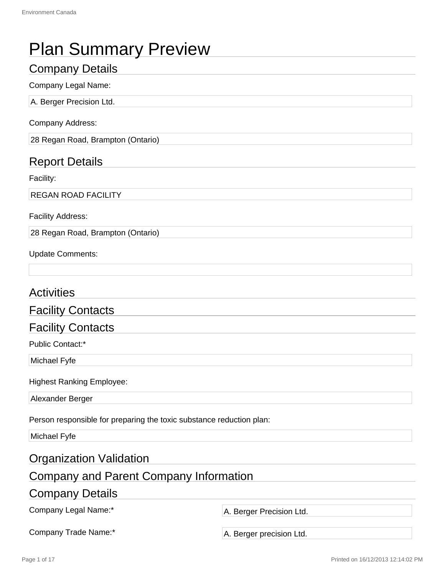| <b>Plan Summary Preview</b>                                          |                          |  |  |
|----------------------------------------------------------------------|--------------------------|--|--|
| <b>Company Details</b>                                               |                          |  |  |
| <b>Company Legal Name:</b>                                           |                          |  |  |
| A. Berger Precision Ltd.                                             |                          |  |  |
| <b>Company Address:</b>                                              |                          |  |  |
| 28 Regan Road, Brampton (Ontario)                                    |                          |  |  |
| <b>Report Details</b>                                                |                          |  |  |
| Facility:                                                            |                          |  |  |
| <b>REGAN ROAD FACILITY</b>                                           |                          |  |  |
| <b>Facility Address:</b>                                             |                          |  |  |
| 28 Regan Road, Brampton (Ontario)                                    |                          |  |  |
| <b>Update Comments:</b>                                              |                          |  |  |
| <b>Activities</b>                                                    |                          |  |  |
| <b>Facility Contacts</b>                                             |                          |  |  |
| <b>Facility Contacts</b>                                             |                          |  |  |
| Public Contact:*                                                     |                          |  |  |
| Michael Fyfe                                                         |                          |  |  |
| <b>Highest Ranking Employee:</b>                                     |                          |  |  |
| Alexander Berger                                                     |                          |  |  |
| Person responsible for preparing the toxic substance reduction plan: |                          |  |  |
| Michael Fyfe                                                         |                          |  |  |
| <b>Organization Validation</b>                                       |                          |  |  |
| <b>Company and Parent Company Information</b>                        |                          |  |  |
| <b>Company Details</b>                                               |                          |  |  |
| Company Legal Name:*                                                 | A. Berger Precision Ltd. |  |  |
| Company Trade Name:*<br>A. Berger precision Ltd.                     |                          |  |  |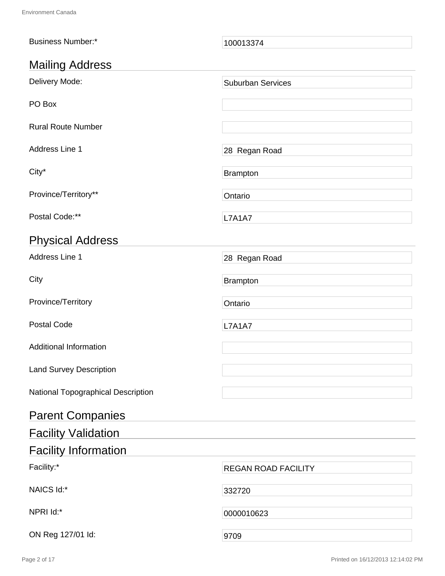| <b>Business Number:*</b>           | 100013374                  |
|------------------------------------|----------------------------|
| <b>Mailing Address</b>             |                            |
| Delivery Mode:                     | <b>Suburban Services</b>   |
| PO Box                             |                            |
| <b>Rural Route Number</b>          |                            |
| Address Line 1                     | 28 Regan Road              |
| City*                              | <b>Brampton</b>            |
| Province/Territory**               | Ontario                    |
| Postal Code:**                     | <b>L7A1A7</b>              |
| <b>Physical Address</b>            |                            |
| Address Line 1                     | 28 Regan Road              |
| City                               | <b>Brampton</b>            |
| Province/Territory                 | Ontario                    |
| <b>Postal Code</b>                 | <b>L7A1A7</b>              |
| <b>Additional Information</b>      |                            |
| <b>Land Survey Description</b>     |                            |
| National Topographical Description |                            |
| <b>Parent Companies</b>            |                            |
| <b>Facility Validation</b>         |                            |
| <b>Facility Information</b>        |                            |
| Facility:*                         | <b>REGAN ROAD FACILITY</b> |
| NAICS Id:*                         | 332720                     |
| NPRI Id:*                          | 0000010623                 |
| ON Reg 127/01 ld:                  | 9709                       |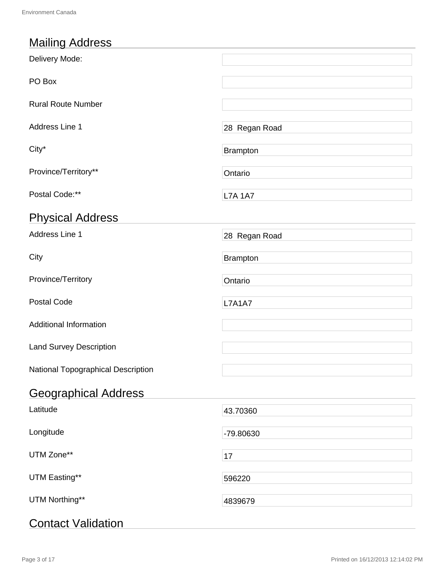# Mailing Address

| Delivery Mode:                     |                 |
|------------------------------------|-----------------|
| PO Box                             |                 |
| <b>Rural Route Number</b>          |                 |
| Address Line 1                     | 28 Regan Road   |
| City*                              | <b>Brampton</b> |
| Province/Territory**               | Ontario         |
| Postal Code:**                     | <b>L7A 1A7</b>  |
| <b>Physical Address</b>            |                 |
| Address Line 1                     | 28 Regan Road   |
| City                               | <b>Brampton</b> |
| Province/Territory                 | Ontario         |
| <b>Postal Code</b>                 | <b>L7A1A7</b>   |
| <b>Additional Information</b>      |                 |
| <b>Land Survey Description</b>     |                 |
| National Topographical Description |                 |
| <b>Geographical Address</b>        |                 |
| Latitude                           | 43.70360        |
| Longitude                          | -79.80630       |
| UTM Zone**                         | 17              |
| UTM Easting**                      | 596220          |
| UTM Northing**                     | 4839679         |
| <b>Contact Validation</b>          |                 |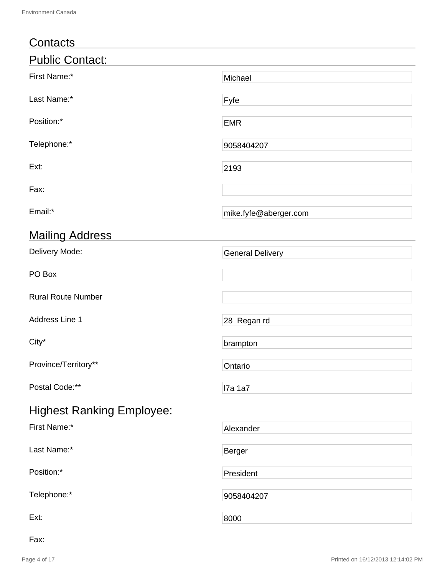| Contacts                         |                         |
|----------------------------------|-------------------------|
| <b>Public Contact:</b>           |                         |
| First Name:*                     | Michael                 |
| Last Name:*                      | Fyfe                    |
| Position:*                       | <b>EMR</b>              |
| Telephone:*                      | 9058404207              |
| Ext:                             | 2193                    |
| Fax:                             |                         |
| Email:*                          | mike.fyfe@aberger.com   |
| <b>Mailing Address</b>           |                         |
| Delivery Mode:                   | <b>General Delivery</b> |
| PO Box                           |                         |
| <b>Rural Route Number</b>        |                         |
| Address Line 1                   | 28 Regan rd             |
| City*                            | brampton                |
| Province/Territory**             | Ontario                 |
| Postal Code:**                   | <b>7a 1a7</b>           |
| <b>Highest Ranking Employee:</b> |                         |
| First Name:*                     | Alexander               |
| Last Name:*                      | <b>Berger</b>           |
| Position:*                       | President               |
| Telephone:*                      | 9058404207              |
| Ext:                             | 8000                    |

Fax: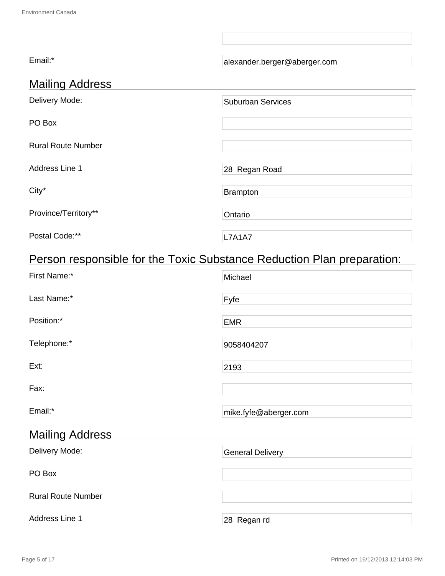| Email:*                   | alexander.berger@aberger.com |
|---------------------------|------------------------------|
| <b>Mailing Address</b>    |                              |
| Delivery Mode:            | <b>Suburban Services</b>     |
| PO Box                    |                              |
| <b>Rural Route Number</b> |                              |
| Address Line 1            | 28 Regan Road                |
| City*                     | Brampton                     |
| Province/Territory**      | Ontario                      |
| Postal Code:**            | <b>L7A1A7</b>                |

# Person responsible for the Toxic Substance Reduction Plan preparation:

| First Name:*              | Michael                 |
|---------------------------|-------------------------|
| Last Name:*               | Fyfe                    |
| Position:*                | <b>EMR</b>              |
| Telephone:*               | 9058404207              |
| Ext:                      | 2193                    |
| Fax:                      |                         |
| Email:*                   | mike.fyfe@aberger.com   |
| <b>Mailing Address</b>    |                         |
| Delivery Mode:            | <b>General Delivery</b> |
| PO Box                    |                         |
| <b>Rural Route Number</b> |                         |
| Address Line 1            | 28 Regan rd             |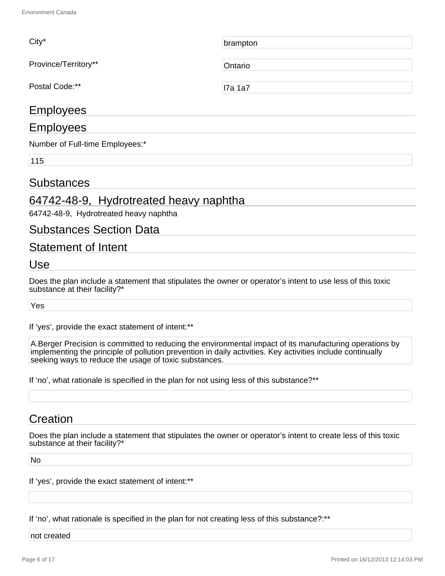| $City*$              | brampton      |
|----------------------|---------------|
| Province/Territory** | Ontario       |
| Postal Code:**       | <b>7a 1a7</b> |
| <b>Employees</b>     |               |

#### Employees

Number of Full-time Employees:\*

115

#### Substances

## 64742-48-9, Hydrotreated heavy naphtha

64742-48-9, Hydrotreated heavy naphtha

#### Substances Section Data

#### Statement of Intent

Use

Does the plan include a statement that stipulates the owner or operator's intent to use less of this toxic substance at their facility?\*

Yes

If 'yes', provide the exact statement of intent:\*\*

A.Berger Precision is committed to reducing the environmental impact of its manufacturing operations by implementing the principle of pollution prevention in daily activities. Key activities include continually seeking ways to reduce the usage of toxic substances.

If 'no', what rationale is specified in the plan for not using less of this substance?\*\*

### **Creation**

Does the plan include a statement that stipulates the owner or operator's intent to create less of this toxic substance at their facility?\*

No

If 'yes', provide the exact statement of intent:\*\*

If 'no', what rationale is specified in the plan for not creating less of this substance?:\*\*

not created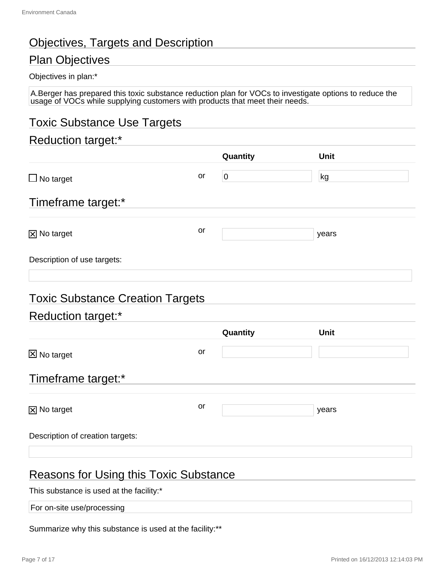# Objectives, Targets and Description

# Plan Objectives

#### Objectives in plan:\*

A.Berger has prepared this toxic substance reduction plan for VOCs to investigate options to reduce the usage of VOCs while supplying customers with products that meet their needs.

# Toxic Substance Use Targets

### Reduction target:\*

|                                         |    | Quantity       | Unit        |  |
|-----------------------------------------|----|----------------|-------------|--|
| $\Box$ No target                        | or | $\overline{0}$ | kg          |  |
| Timeframe target:*                      |    |                |             |  |
| <b>X</b> No target                      | or |                | years       |  |
| Description of use targets:             |    |                |             |  |
| <b>Toxic Substance Creation Targets</b> |    |                |             |  |
| Reduction target:*                      |    |                |             |  |
|                                         |    | Quantity       | <b>Unit</b> |  |
| <b>X</b> No target                      | or |                |             |  |
| Timeframe target:*                      |    |                |             |  |
| <b>X</b> No target                      | or |                | years       |  |
| Description of creation targets:        |    |                |             |  |
|                                         |    |                |             |  |

# Reasons for Using this Toxic Substance

This substance is used at the facility:\*

For on-site use/processing

Summarize why this substance is used at the facility:\*\*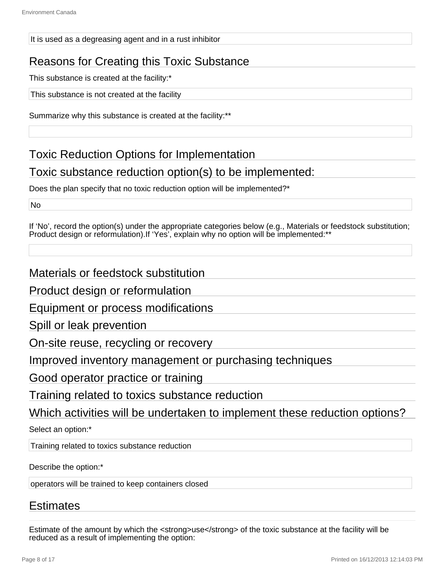#### It is used as a degreasing agent and in a rust inhibitor

# Reasons for Creating this Toxic Substance

This substance is created at the facility:\*

This substance is not created at the facility

Summarize why this substance is created at the facility:\*\*

Toxic Reduction Options for Implementation

## Toxic substance reduction option(s) to be implemented:

Does the plan specify that no toxic reduction option will be implemented?\*

No

If 'No', record the option(s) under the appropriate categories below (e.g., Materials or feedstock substitution; Product design or reformulation).If 'Yes', explain why no option will be implemented:\*\*

## Materials or feedstock substitution

Product design or reformulation

Equipment or process modifications

Spill or leak prevention

On-site reuse, recycling or recovery

Improved inventory management or purchasing techniques

Good operator practice or training

Training related to toxics substance reduction

Which activities will be undertaken to implement these reduction options?

Select an option:\*

Training related to toxics substance reduction

Describe the option:\*

operators will be trained to keep containers closed

### Estimates

Estimate of the amount by which the <strong>use</strong> of the toxic substance at the facility will be reduced as a result of implementing the option: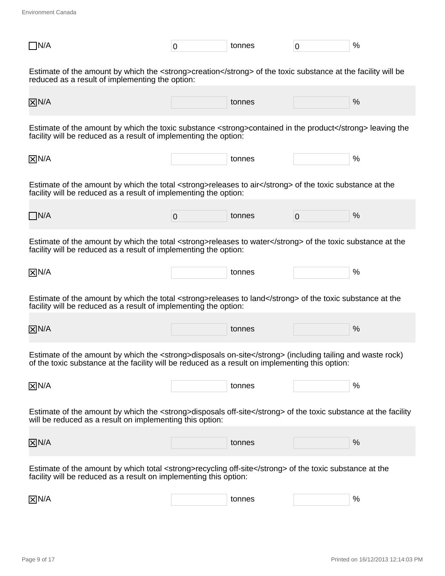Environment Canada

| $\Box$ N/A                                                                                                                                                                     | 0                                                                                                                                                                                                            | tonnes | $\overline{0}$ | % |  |  |  |  |
|--------------------------------------------------------------------------------------------------------------------------------------------------------------------------------|--------------------------------------------------------------------------------------------------------------------------------------------------------------------------------------------------------------|--------|----------------|---|--|--|--|--|
| Estimate of the amount by which the <strong>creation</strong> of the toxic substance at the facility will be<br>reduced as a result of implementing the option:                |                                                                                                                                                                                                              |        |                |   |  |  |  |  |
| $\overline{X}$ N/A                                                                                                                                                             |                                                                                                                                                                                                              | tonnes |                | % |  |  |  |  |
| Estimate of the amount by which the toxic substance <strong>contained in the product</strong> leaving the<br>facility will be reduced as a result of implementing the option:  |                                                                                                                                                                                                              |        |                |   |  |  |  |  |
| $\overline{X}$ N/A                                                                                                                                                             |                                                                                                                                                                                                              | tonnes |                | % |  |  |  |  |
| Estimate of the amount by which the total <strong>releases to air</strong> of the toxic substance at the<br>facility will be reduced as a result of implementing the option:   |                                                                                                                                                                                                              |        |                |   |  |  |  |  |
| $\Box$ N/A                                                                                                                                                                     | $\overline{0}$                                                                                                                                                                                               | tonnes | $\overline{0}$ | % |  |  |  |  |
| Estimate of the amount by which the total <strong>releases to water</strong> of the toxic substance at the<br>facility will be reduced as a result of implementing the option: |                                                                                                                                                                                                              |        |                |   |  |  |  |  |
| $\overline{X}$ N/A                                                                                                                                                             |                                                                                                                                                                                                              | tonnes |                | % |  |  |  |  |
| Estimate of the amount by which the total <strong>releases to land</strong> of the toxic substance at the<br>facility will be reduced as a result of implementing the option:  |                                                                                                                                                                                                              |        |                |   |  |  |  |  |
| $\overline{X}$ N/A                                                                                                                                                             |                                                                                                                                                                                                              | tonnes |                | % |  |  |  |  |
|                                                                                                                                                                                | Estimate of the amount by which the <strong>disposals on-site</strong> (including tailing and waste rock)<br>of the toxic substance at the facility will be reduced as a result on implementing this option: |        |                |   |  |  |  |  |
| $\overline{X}$ N/A                                                                                                                                                             |                                                                                                                                                                                                              | tonnes |                | % |  |  |  |  |
| Estimate of the amount by which the <strong>disposals off-site</strong> of the toxic substance at the facility<br>will be reduced as a result on implementing this option:     |                                                                                                                                                                                                              |        |                |   |  |  |  |  |
| $\overline{X}$ N/A                                                                                                                                                             |                                                                                                                                                                                                              | tonnes |                | % |  |  |  |  |
| Estimate of the amount by which total <strong>recycling off-site</strong> of the toxic substance at the<br>facility will be reduced as a result on implementing this option:   |                                                                                                                                                                                                              |        |                |   |  |  |  |  |
| $\boxtimes$ N/A                                                                                                                                                                |                                                                                                                                                                                                              | tonnes |                | % |  |  |  |  |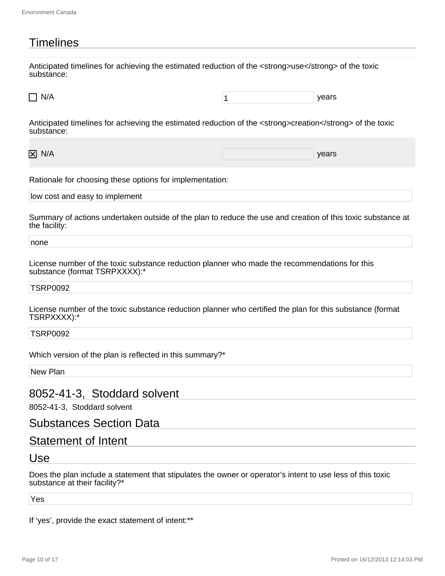# **Timelines**

Anticipated timelines for achieving the estimated reduction of the <strong>use</strong> of the toxic substance:

 $N/A$  years

Anticipated timelines for achieving the estimated reduction of the <strong>creation</strong> of the toxic substance:

N/A years and the contract of the contract of the contract of the contract of the contract of the contract of the contract of the contract of the contract of the contract of the contract of the contract of the contract of

Rationale for choosing these options for implementation:

low cost and easy to implement

Summary of actions undertaken outside of the plan to reduce the use and creation of this toxic substance at the facility:

none

License number of the toxic substance reduction planner who made the recommendations for this substance (format TSRPXXXX):\*

TSRP0092

License number of the toxic substance reduction planner who certified the plan for this substance (format TSRPXXXX):\*

TSRP0092

Which version of the plan is reflected in this summary?\*

New Plan

#### 8052-41-3, Stoddard solvent

8052-41-3, Stoddard solvent

#### Substances Section Data

#### Statement of Intent

Use

Does the plan include a statement that stipulates the owner or operator's intent to use less of this toxic substance at their facility?\*

Yes

If 'yes', provide the exact statement of intent:\*\*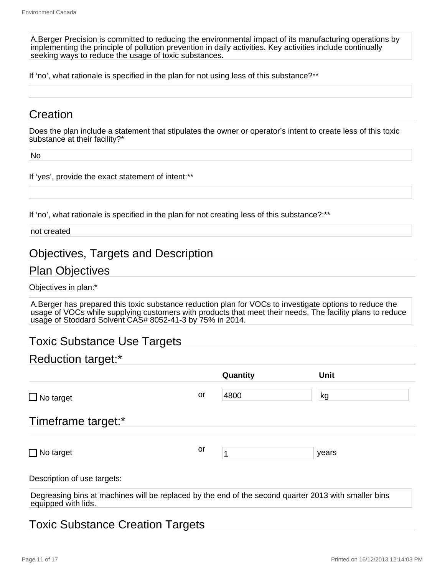A.Berger Precision is committed to reducing the environmental impact of its manufacturing operations by implementing the principle of pollution prevention in daily activities. Key activities include continually seeking ways to reduce the usage of toxic substances.

If 'no', what rationale is specified in the plan for not using less of this substance?\*\*

# **Creation**

Does the plan include a statement that stipulates the owner or operator's intent to create less of this toxic substance at their facility?\*

No

If 'yes', provide the exact statement of intent:\*\*

If 'no', what rationale is specified in the plan for not creating less of this substance?:\*\*

not created

## Objectives, Targets and Description

#### Plan Objectives

Objectives in plan:\*

A.Berger has prepared this toxic substance reduction plan for VOCs to investigate options to reduce the usage of VOCs while supplying customers with products that meet their needs. The facility plans to reduce usage of Stoddard Solvent CAS# 8052-41-3 by 75% in 2014.

# Toxic Substance Use Targets

# Reduction target:\*

|                                                                                                                             |    | Quantity | <b>Unit</b> |  |
|-----------------------------------------------------------------------------------------------------------------------------|----|----------|-------------|--|
| $\Box$ No target                                                                                                            | or | 4800     | kg          |  |
| Timeframe target:*                                                                                                          |    |          |             |  |
| $\Box$ No target                                                                                                            | or |          | years       |  |
| Description of use targets:                                                                                                 |    |          |             |  |
| Degreasing bins at machines will be replaced by the end of the second quarter 2013 with smaller bins<br>equipped with lids. |    |          |             |  |

# Toxic Substance Creation Targets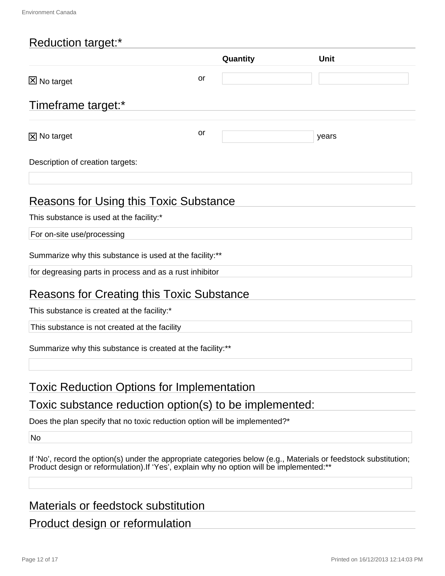# Reduction target:\*

|                                                            |           | Quantity | Unit  |  |
|------------------------------------------------------------|-----------|----------|-------|--|
| <b>区 No target</b>                                         | <b>or</b> |          |       |  |
| Timeframe target:*                                         |           |          |       |  |
| $\boxtimes$ No target                                      | or        |          | years |  |
| Description of creation targets:                           |           |          |       |  |
| Reasons for Using this Toxic Substance                     |           |          |       |  |
| This substance is used at the facility:*                   |           |          |       |  |
| For on-site use/processing                                 |           |          |       |  |
| Summarize why this substance is used at the facility:**    |           |          |       |  |
| for degreasing parts in process and as a rust inhibitor    |           |          |       |  |
| Reasons for Creating this Toxic Substance                  |           |          |       |  |
| This substance is created at the facility:*                |           |          |       |  |
| This substance is not created at the facility              |           |          |       |  |
| Summarize why this substance is created at the facility:** |           |          |       |  |
|                                                            |           |          |       |  |

# Toxic Reduction Options for Implementation

# Toxic substance reduction option(s) to be implemented:

Does the plan specify that no toxic reduction option will be implemented?\*

No

| If 'No', record the option(s) under the appropriate categories below (e.g., Materials or feedstock substitution; |  |  |  |
|------------------------------------------------------------------------------------------------------------------|--|--|--|
| Product design or reformulation). If 'Yes', explain why no option will be implemented:**                         |  |  |  |

## Materials or feedstock substitution

# Product design or reformulation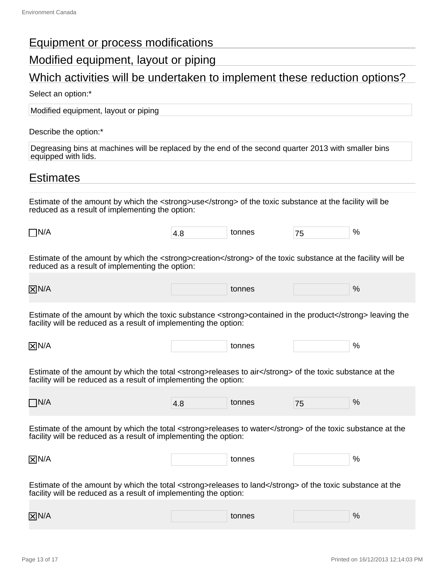# Equipment or process modifications

# Modified equipment, layout or piping

# Which activities will be undertaken to implement these reduction options?

#### Select an option:\*

Modified equipment, layout or piping

Describe the option:\*

Degreasing bins at machines will be replaced by the end of the second quarter 2013 with smaller bins equipped with lids.

## **Estimates**

Estimate of the amount by which the <strong>use</strong> of the toxic substance at the facility will be reduced as a result of implementing the option:

| _<br>INI/A<br>_<br>╾ | $\mathbf{A}$<br>$\cdot$ . $\sim$ | --<br>, , | % |
|----------------------|----------------------------------|-----------|---|

Estimate of the amount by which the <strong>creation</strong> of the toxic substance at the facility will be reduced as a result of implementing the option:

| $\overline{X}$ N/A | tonnes<br>. | % |  |
|--------------------|-------------|---|--|
|                    |             |   |  |

Estimate of the amount by which the toxic substance <strong>contained in the product</strong> leaving the facility will be reduced as a result of implementing the option:

N/A tonnes  $\sim$  100 mm  $\sim$  100 mm  $\sim$  100 mm  $\sim$  100 mm  $\sim$  100 mm  $\sim$  100 mm  $\sim$  100 mm  $\sim$  100 mm  $\sim$  100 mm  $\sim$  100 mm  $\sim$  100 mm  $\sim$  100 mm  $\sim$  100 mm  $\sim$  100 mm  $\sim$  100 mm  $\sim$  100 mm  $\sim$  100 mm  $\sim$  10

Estimate of the amount by which the total <strong>releases to air</strong> of the toxic substance at the facility will be reduced as a result of implementing the option:

| __<br>TN/A | ା4.∟<br>$\cdot$ - $-$ | tonnoc<br>uc<br>. | $\rightarrow$<br>. . | % |
|------------|-----------------------|-------------------|----------------------|---|
|            |                       |                   |                      |   |

Estimate of the amount by which the total <strong>releases to water</strong> of the toxic substance at the facility will be reduced as a result of implementing the option:

| $\boxtimes N$ | tonnes | $\sim$<br>. . |
|---------------|--------|---------------|
| 17 N          |        |               |

Estimate of the amount by which the total <strong>releases to land</strong> of the toxic substance at the facility will be reduced as a result of implementing the option:

| $\overline{X}$ N/A | tonnes | % |  |
|--------------------|--------|---|--|
|                    |        |   |  |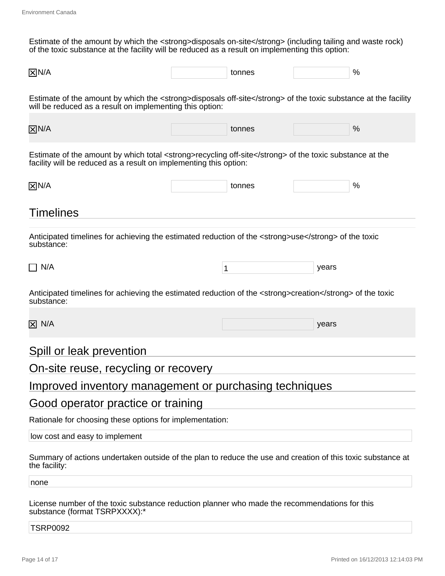Estimate of the amount by which the <strong>disposals on-site</strong> (including tailing and waste rock) of the toxic substance at the facility will be reduced as a result on implementing this option:

| $\overline{X}$ N/A<br>. . |  | tonnes |  | 0 |
|---------------------------|--|--------|--|---|
|---------------------------|--|--------|--|---|

Estimate of the amount by which the <strong>disposals off-site</strong> of the toxic substance at the facility will be reduced as a result on implementing this option:

| $\overline{X}$ N/A | tonnes | % |
|--------------------|--------|---|

Estimate of the amount by which total <strong>recycling off-site</strong> of the toxic substance at the facility will be reduced as a result on implementing this option:

| $\boxtimes N/$ | $\cdots$ | $\mathbf{O}/$<br>70 |
|----------------|----------|---------------------|
|                |          |                     |

## **Timelines**

Anticipated timelines for achieving the estimated reduction of the <strong>use</strong> of the toxic substance:

| N/A | - | vears |
|-----|---|-------|
|-----|---|-------|

Anticipated timelines for achieving the estimated reduction of the <strong>creation</strong> of the toxic substance:

N/A years and the contract of the contract of the contract of the contract of the contract of the contract of the contract of the contract of the contract of the contract of the contract of the contract of the contract of

#### Spill or leak prevention

#### On-site reuse, recycling or recovery

### Improved inventory management or purchasing techniques

#### Good operator practice or training

Rationale for choosing these options for implementation:

low cost and easy to implement

Summary of actions undertaken outside of the plan to reduce the use and creation of this toxic substance at the facility:

none

License number of the toxic substance reduction planner who made the recommendations for this substance (format TSRPXXXX):\*

#### TSRP0092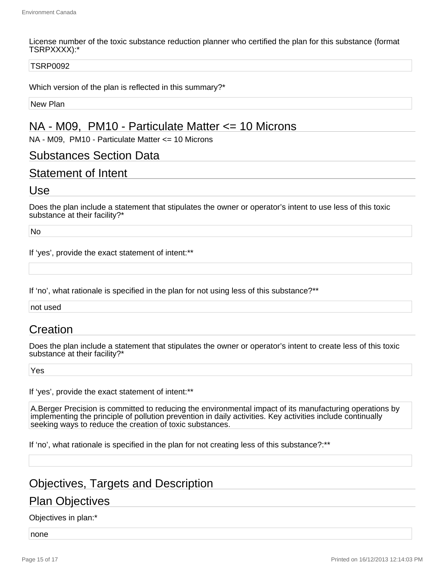License number of the toxic substance reduction planner who certified the plan for this substance (format TSRPXXXX):\*

#### TSRP0092

Which version of the plan is reflected in this summary?\*

New Plan

# NA - M09, PM10 - Particulate Matter <= 10 Microns

NA - M09, PM10 - Particulate Matter <= 10 Microns

#### Substances Section Data

### Statement of Intent

#### Use

Does the plan include a statement that stipulates the owner or operator's intent to use less of this toxic substance at their facility?\*

No

If 'yes', provide the exact statement of intent:\*\*

If 'no', what rationale is specified in the plan for not using less of this substance?\*\*

not used

## **Creation**

Does the plan include a statement that stipulates the owner or operator's intent to create less of this toxic substance at their facility?\*

Yes

If 'yes', provide the exact statement of intent:\*\*

A.Berger Precision is committed to reducing the environmental impact of its manufacturing operations by implementing the principle of pollution prevention in daily activities. Key activities include continually seeking ways to reduce the creation of toxic substances.

If 'no', what rationale is specified in the plan for not creating less of this substance?:\*\*

## Objectives, Targets and Description

### Plan Objectives

#### Objectives in plan:\*

none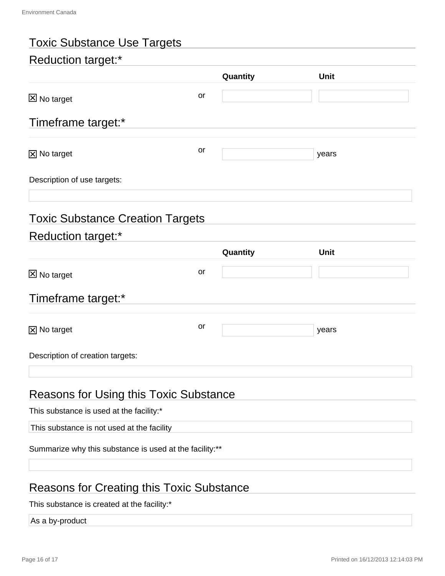| <b>Toxic Substance Use Targets</b>                      |    |          |             |  |
|---------------------------------------------------------|----|----------|-------------|--|
| <b>Reduction target:*</b>                               |    |          |             |  |
|                                                         |    | Quantity | <b>Unit</b> |  |
| <b>区 No target</b>                                      | or |          |             |  |
| Timeframe target:*                                      |    |          |             |  |
| $\boxed{\times}$ No target                              | or |          | years       |  |
| Description of use targets:                             |    |          |             |  |
| <b>Toxic Substance Creation Targets</b>                 |    |          |             |  |
| <b>Reduction target:*</b>                               |    |          | <b>Unit</b> |  |
|                                                         |    | Quantity |             |  |
| <b>区 No target</b>                                      | or |          |             |  |
| Timeframe target:*                                      |    |          |             |  |
| $\boxtimes$ No target                                   | or |          | years       |  |
| Description of creation targets:                        |    |          |             |  |
| <b>Reasons for Using this Toxic Substance</b>           |    |          |             |  |
| This substance is used at the facility:*                |    |          |             |  |
| This substance is not used at the facility              |    |          |             |  |
| Summarize why this substance is used at the facility:** |    |          |             |  |
|                                                         |    |          |             |  |
| <b>Reasons for Creating this Toxic Substance</b>        |    |          |             |  |

This substance is created at the facility:\*

As a by-product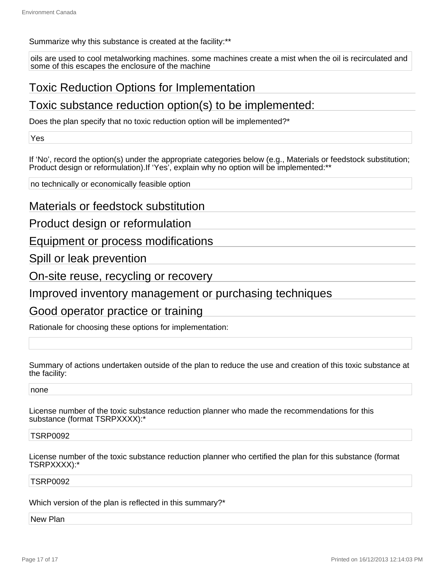#### Summarize why this substance is created at the facility:\*\*

oils are used to cool metalworking machines. some machines create a mist when the oil is recirculated and some of this escapes the enclosure of the machine

# Toxic Reduction Options for Implementation

# Toxic substance reduction option(s) to be implemented:

Does the plan specify that no toxic reduction option will be implemented?\*

Yes

If 'No', record the option(s) under the appropriate categories below (e.g., Materials or feedstock substitution; Product design or reformulation). If 'Yes', explain why no option will be implemented:\*\*

no technically or economically feasible option

Materials or feedstock substitution

Product design or reformulation

Equipment or process modifications

Spill or leak prevention

On-site reuse, recycling or recovery

Improved inventory management or purchasing techniques

### Good operator practice or training

Rationale for choosing these options for implementation:

Summary of actions undertaken outside of the plan to reduce the use and creation of this toxic substance at the facility:

none

License number of the toxic substance reduction planner who made the recommendations for this substance (format TSRPXXXX):\*

#### TSRP0092

License number of the toxic substance reduction planner who certified the plan for this substance (format TSRPXXXX):\*

#### TSRP0092

Which version of the plan is reflected in this summary?\*

#### New Plan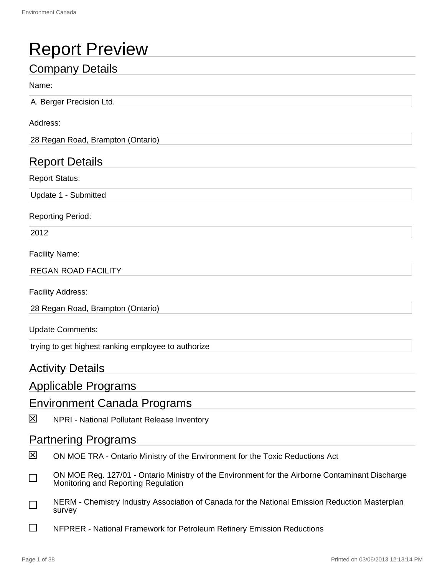# Report Preview

# Company Details

#### Name:

A. Berger Precision Ltd.

#### Address:

28 Regan Road, Brampton (Ontario)

# Report Details

Report Status:

Update 1 - Submitted

#### Reporting Period:

2012

#### Facility Name:

REGAN ROAD FACILITY

Facility Address:

28 Regan Road, Brampton (Ontario)

#### Update Comments:

trying to get highest ranking employee to authorize

## Activity Details

## Applicable Programs

### Environment Canada Programs

区 NPRI - National Pollutant Release Inventory

### Partnering Programs

- ⊠ ON MOE TRA - Ontario Ministry of the Environment for the Toxic Reductions Act
- ON MOE Reg. 127/01 Ontario Ministry of the Environment for the Airborne Contaminant Discharge П Monitoring and Reporting Regulation
- NERM Chemistry Industry Association of Canada for the National Emission Reduction Masterplan  $\Box$ survey
- П NFPRER - National Framework for Petroleum Refinery Emission Reductions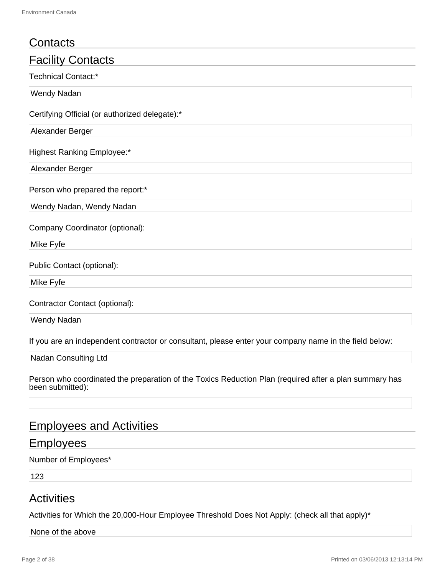| Contacts                                                                                                                   |
|----------------------------------------------------------------------------------------------------------------------------|
| <b>Facility Contacts</b>                                                                                                   |
| <b>Technical Contact:*</b>                                                                                                 |
| Wendy Nadan                                                                                                                |
| Certifying Official (or authorized delegate):*                                                                             |
| Alexander Berger                                                                                                           |
| <b>Highest Ranking Employee:*</b>                                                                                          |
| Alexander Berger                                                                                                           |
| Person who prepared the report:*                                                                                           |
| Wendy Nadan, Wendy Nadan                                                                                                   |
| Company Coordinator (optional):                                                                                            |
| Mike Fyfe                                                                                                                  |
| Public Contact (optional):                                                                                                 |
| Mike Fyfe                                                                                                                  |
| Contractor Contact (optional):                                                                                             |
| <b>Wendy Nadan</b>                                                                                                         |
| If you are an independent contractor or consultant, please enter your company name in the field below:                     |
| Nadan Consulting Ltd                                                                                                       |
| Person who coordinated the preparation of the Toxics Reduction Plan (required after a plan summary has<br>been submitted): |

# Employees and Activities

# Employees

Number of Employees\*

123

# **Activities**

Activities for Which the 20,000-Hour Employee Threshold Does Not Apply: (check all that apply)\*

#### None of the above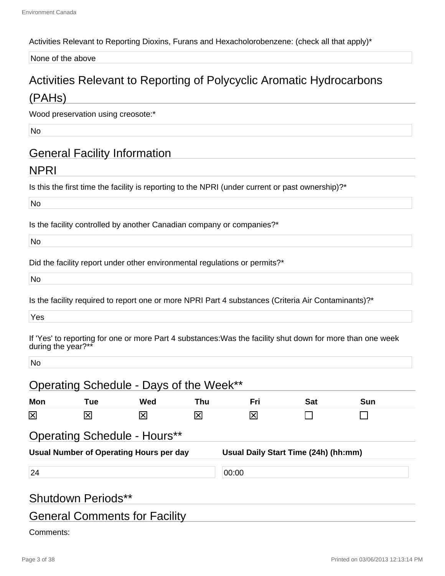#### Activities Relevant to Reporting Dioxins, Furans and Hexacholorobenzene: (check all that apply)\*

None of the above

# Activities Relevant to Reporting of Polycyclic Aromatic Hydrocarbons (PAHs)

Wood preservation using creosote:\*

No

# General Facility Information

## NPRI

Is this the first time the facility is reporting to the NPRI (under current or past ownership)?\*

No

Is the facility controlled by another Canadian company or companies?\*

No

Did the facility report under other environmental regulations or permits?\*

No

Is the facility required to report one or more NPRI Part 4 substances (Criteria Air Contaminants)?\*

Yes

If 'Yes' to reporting for one or more Part 4 substances:Was the facility shut down for more than one week during the year?\*\*

No

| Mon                     | <b>Tue</b>                | Wed                                                                            | Thu | Fri   | <b>Sat</b>                           | <b>Sun</b> |
|-------------------------|---------------------------|--------------------------------------------------------------------------------|-----|-------|--------------------------------------|------------|
| $\overline{\mathsf{x}}$ | 冈                         | $\mathsf{\times}$                                                              | Ι×Ι | 冈     |                                      |            |
|                         |                           | <b>Operating Schedule - Hours**</b><br>Usual Number of Operating Hours per day |     |       | Usual Daily Start Time (24h) (hh:mm) |            |
|                         |                           |                                                                                |     |       |                                      |            |
|                         |                           |                                                                                |     |       |                                      |            |
| 24                      |                           |                                                                                |     | 00:00 |                                      |            |
|                         | <b>Shutdown Periods**</b> |                                                                                |     |       |                                      |            |

Comments: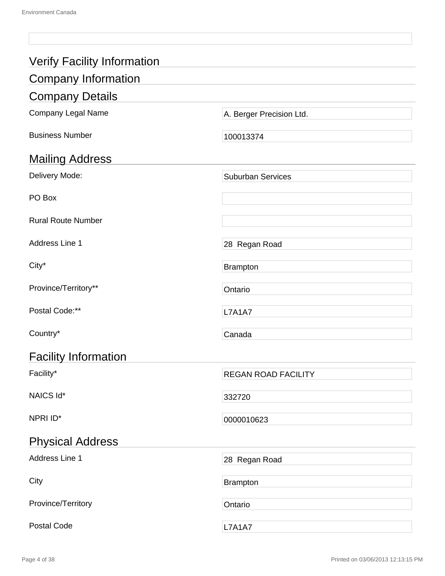| <b>Verify Facility Information</b> |                            |  |  |  |
|------------------------------------|----------------------------|--|--|--|
| <b>Company Information</b>         |                            |  |  |  |
| <b>Company Details</b>             |                            |  |  |  |
|                                    |                            |  |  |  |
| Company Legal Name                 | A. Berger Precision Ltd.   |  |  |  |
| <b>Business Number</b>             | 100013374                  |  |  |  |
| <b>Mailing Address</b>             |                            |  |  |  |
| Delivery Mode:                     | <b>Suburban Services</b>   |  |  |  |
| PO Box                             |                            |  |  |  |
| <b>Rural Route Number</b>          |                            |  |  |  |
| Address Line 1                     | 28 Regan Road              |  |  |  |
| City*                              | <b>Brampton</b>            |  |  |  |
| Province/Territory**               | Ontario                    |  |  |  |
| Postal Code:**                     | <b>L7A1A7</b>              |  |  |  |
| Country*                           | Canada                     |  |  |  |
| <b>Facility Information</b>        |                            |  |  |  |
| Facility*                          | <b>REGAN ROAD FACILITY</b> |  |  |  |
| NAICS Id*                          | 332720                     |  |  |  |
| NPRI ID*                           | 0000010623                 |  |  |  |
| <b>Physical Address</b>            |                            |  |  |  |
| Address Line 1                     | 28 Regan Road              |  |  |  |
| City                               | <b>Brampton</b>            |  |  |  |
| Province/Territory                 | Ontario                    |  |  |  |
| <b>Postal Code</b>                 | <b>L7A1A7</b>              |  |  |  |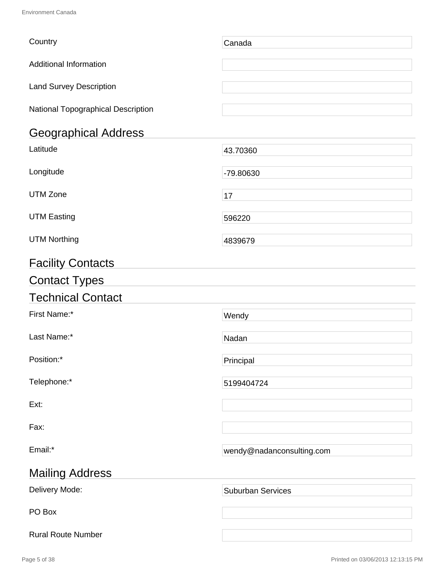| Country                            | Canada                    |
|------------------------------------|---------------------------|
| <b>Additional Information</b>      |                           |
| <b>Land Survey Description</b>     |                           |
| National Topographical Description |                           |
| <b>Geographical Address</b>        |                           |
| Latitude                           | 43.70360                  |
| Longitude                          | -79.80630                 |
| <b>UTM Zone</b>                    | 17                        |
| <b>UTM Easting</b>                 | 596220                    |
| <b>UTM Northing</b>                | 4839679                   |
| <b>Facility Contacts</b>           |                           |
| <b>Contact Types</b>               |                           |
| <b>Technical Contact</b>           |                           |
| First Name:*                       | Wendy                     |
| Last Name:*                        | Nadan                     |
| Position:*                         | Principal                 |
| Telephone:*                        | 5199404724                |
| Ext:                               |                           |
| Fax:                               |                           |
| Email:*                            | wendy@nadanconsulting.com |
| <b>Mailing Address</b>             |                           |
| Delivery Mode:                     | <b>Suburban Services</b>  |
| PO Box                             |                           |
| <b>Rural Route Number</b>          |                           |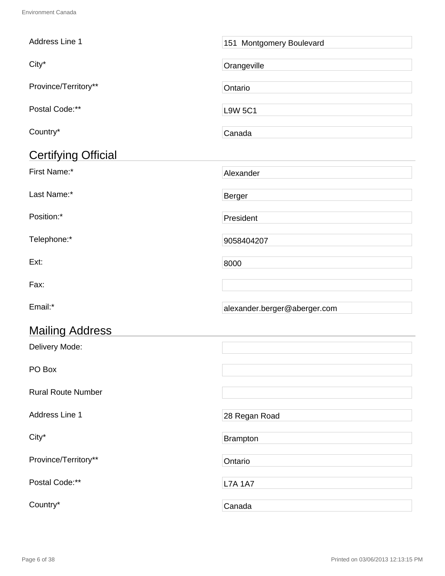| Address Line 1             |                              |
|----------------------------|------------------------------|
|                            | 151 Montgomery Boulevard     |
| City*                      | Orangeville                  |
| Province/Territory**       | Ontario                      |
| Postal Code:**             | <b>L9W 5C1</b>               |
| Country*                   | Canada                       |
| <b>Certifying Official</b> |                              |
| First Name:*               | Alexander                    |
| Last Name:*                | <b>Berger</b>                |
| Position:*                 | President                    |
| Telephone:*                | 9058404207                   |
| Ext:                       | 8000                         |
| Fax:                       |                              |
| Email:*                    | alexander.berger@aberger.com |
| <b>Mailing Address</b>     |                              |
| Delivery Mode:             |                              |
| PO Box                     |                              |
| <b>Rural Route Number</b>  |                              |
| Address Line 1             | 28 Regan Road                |
| City*                      | <b>Brampton</b>              |
| Province/Territory**       | Ontario                      |
| Postal Code:**             | <b>L7A 1A7</b>               |
| Country*                   | Canada                       |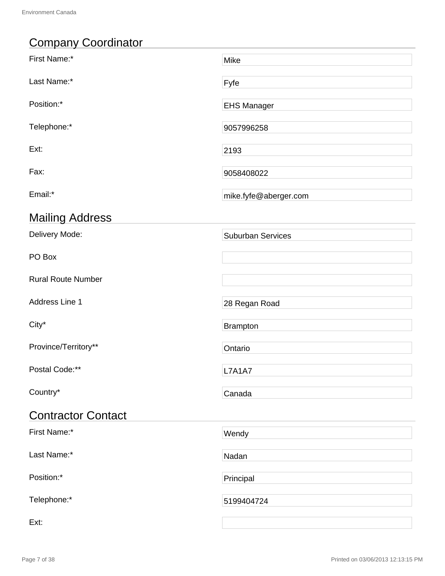# Company Coordinator

| First Name:*              | Mike                     |
|---------------------------|--------------------------|
| Last Name:*               | Fyfe                     |
| Position:*                | <b>EHS Manager</b>       |
| Telephone:*               | 9057996258               |
| Ext:                      | 2193                     |
| Fax:                      | 9058408022               |
| Email:*                   | mike.fyfe@aberger.com    |
| <b>Mailing Address</b>    |                          |
| Delivery Mode:            | <b>Suburban Services</b> |
| PO Box                    |                          |
| <b>Rural Route Number</b> |                          |
| Address Line 1            | 28 Regan Road            |
| City*                     | <b>Brampton</b>          |
| Province/Territory**      | Ontario                  |
| Postal Code:**            | <b>L7A1A7</b>            |
| Country*                  | Canada                   |
| <b>Contractor Contact</b> |                          |
| First Name:*              | Wendy                    |
| Last Name:*               | Nadan                    |
| Position:*                | Principal                |
| Telephone:*               | 5199404724               |
| Ext:                      |                          |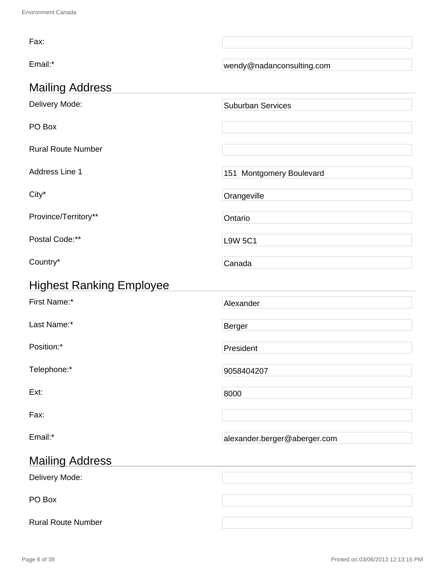| Fax:                            |                              |
|---------------------------------|------------------------------|
| Email:*                         | wendy@nadanconsulting.com    |
| <b>Mailing Address</b>          |                              |
| Delivery Mode:                  | <b>Suburban Services</b>     |
| PO Box                          |                              |
| <b>Rural Route Number</b>       |                              |
| Address Line 1                  | 151 Montgomery Boulevard     |
| City*                           | Orangeville                  |
| Province/Territory**            | Ontario                      |
| Postal Code:**                  | <b>L9W 5C1</b>               |
| Country*                        | Canada                       |
| <b>Highest Ranking Employee</b> |                              |
| First Name:*                    | Alexander                    |
| Last Name:*                     | <b>Berger</b>                |
| Position:*                      | President                    |
| Telephone:*                     | 9058404207                   |
| Ext:                            | 8000                         |
| Fax:                            |                              |
| Email:*                         | alexander.berger@aberger.com |
| <b>Mailing Address</b>          |                              |
| Delivery Mode:                  |                              |
| PO Box                          |                              |
| <b>Rural Route Number</b>       |                              |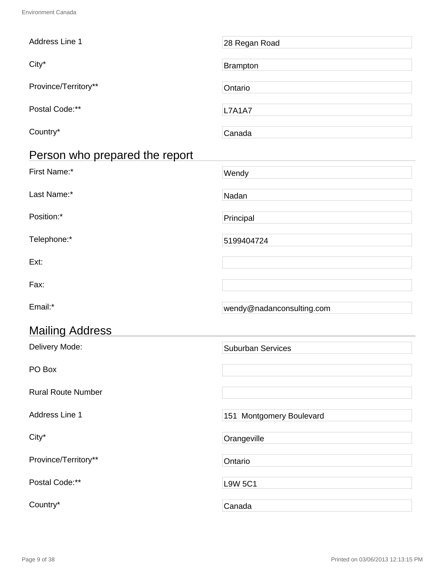| Address Line 1                 | 28 Regan Road             |
|--------------------------------|---------------------------|
| City*                          | <b>Brampton</b>           |
| Province/Territory**           | Ontario                   |
| Postal Code:**                 | <b>L7A1A7</b>             |
| Country*                       | Canada                    |
| Person who prepared the report |                           |
| First Name:*                   | Wendy                     |
| Last Name:*                    | Nadan                     |
| Position:*                     | Principal                 |
| Telephone:*                    | 5199404724                |
| Ext:                           |                           |
| Fax:                           |                           |
| Email:*                        | wendy@nadanconsulting.com |
| <b>Mailing Address</b>         |                           |
| Delivery Mode:                 | <b>Suburban Services</b>  |
| PO Box                         |                           |
| <b>Rural Route Number</b>      |                           |
| Address Line 1                 | 151 Montgomery Boulevard  |
| City*                          | Orangeville               |
| Province/Territory**           | Ontario                   |
| Postal Code:**                 | <b>L9W 5C1</b>            |
| Country*                       | Canada                    |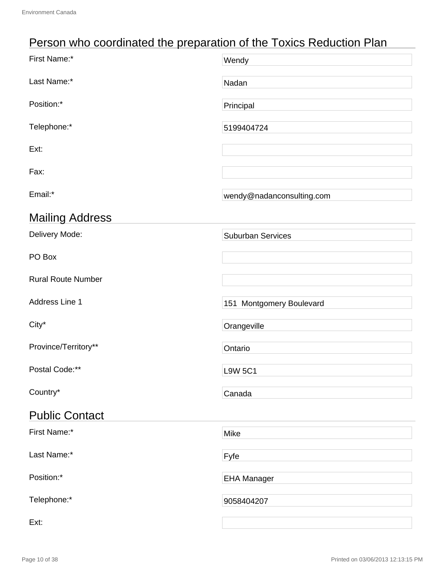# Person who coordinated the preparation of the Toxics Reduction Plan

| First Name:*              | Wendy                     |
|---------------------------|---------------------------|
| Last Name:*               | Nadan                     |
| Position:*                | Principal                 |
| Telephone:*               | 5199404724                |
| Ext:                      |                           |
| Fax:                      |                           |
| Email:*                   | wendy@nadanconsulting.com |
| <b>Mailing Address</b>    |                           |
| Delivery Mode:            | <b>Suburban Services</b>  |
| PO Box                    |                           |
| <b>Rural Route Number</b> |                           |
| Address Line 1            | 151 Montgomery Boulevard  |
| City*                     | Orangeville               |
| Province/Territory**      | Ontario                   |
| Postal Code:**            | <b>L9W 5C1</b>            |
| Country*                  | Canada                    |
| <b>Public Contact</b>     |                           |
| First Name:*              | Mike                      |
| Last Name:*               | Fyfe                      |
| Position:*                | <b>EHA Manager</b>        |
| Telephone:*               | 9058404207                |
| Ext:                      |                           |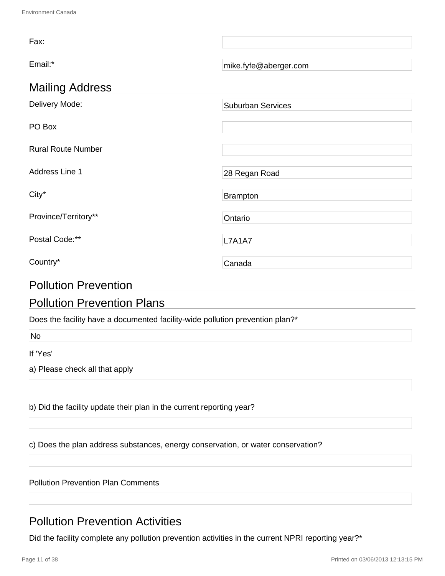| Fax:                      |                          |
|---------------------------|--------------------------|
| Email:*                   | mike.fyfe@aberger.com    |
| <b>Mailing Address</b>    |                          |
| Delivery Mode:            | <b>Suburban Services</b> |
| PO Box                    |                          |
| <b>Rural Route Number</b> |                          |
| Address Line 1            | 28 Regan Road            |
| City*                     | <b>Brampton</b>          |
| Province/Territory**      | Ontario                  |
| Postal Code:**            | <b>L7A1A7</b>            |
| Country*                  | Canada                   |

# Pollution Prevention

# Pollution Prevention Plans

Does the facility have a documented facility-wide pollution prevention plan?\*

No

If 'Yes'

a) Please check all that apply

b) Did the facility update their plan in the current reporting year?

c) Does the plan address substances, energy conservation, or water conservation?

Pollution Prevention Plan Comments

# Pollution Prevention Activities

Did the facility complete any pollution prevention activities in the current NPRI reporting year?\*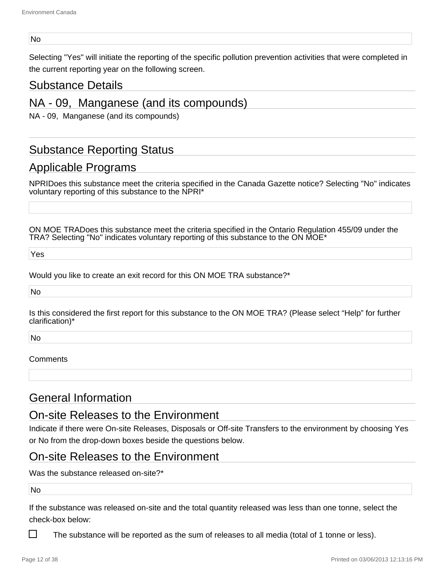#### No

Selecting "Yes" will initiate the reporting of the specific pollution prevention activities that were completed in the current reporting year on the following screen.

### Substance Details

## NA - 09, Manganese (and its compounds)

NA - 09, Manganese (and its compounds)

# Substance Reporting Status

# Applicable Programs

NPRIDoes this substance meet the criteria specified in the Canada Gazette notice? Selecting "No" indicates voluntary reporting of this substance to the NPRI\*

ON MOE TRADoes this substance meet the criteria specified in the Ontario Regulation 455/09 under the TRA? Selecting "No" indicates voluntary reporting of this substance to the ON MOE\*

Yes

Would you like to create an exit record for this ON MOE TRA substance?\*

No

Is this considered the first report for this substance to the ON MOE TRA? (Please select "Help" for further clarification)\*

No

#### **Comments**

## General Information

### On-site Releases to the Environment

Indicate if there were On-site Releases, Disposals or Off-site Transfers to the environment by choosing Yes or No from the drop-down boxes beside the questions below.

#### On-site Releases to the Environment

Was the substance released on-site?\*

No

If the substance was released on-site and the total quantity released was less than one tonne, select the check-box below:

The substance will be reported as the sum of releases to all media (total of 1 tonne or less).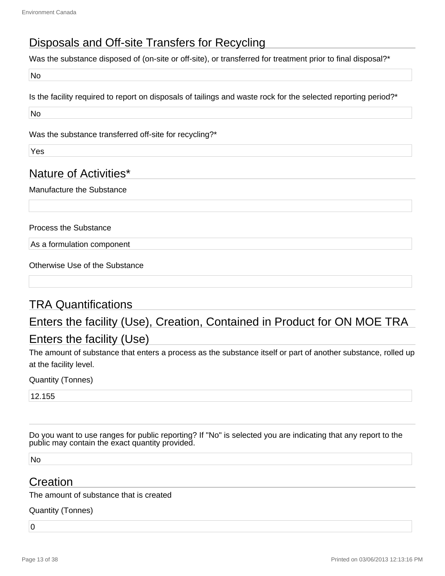# Disposals and Off-site Transfers for Recycling

Was the substance disposed of (on-site or off-site), or transferred for treatment prior to final disposal?\*

No

Is the facility required to report on disposals of tailings and waste rock for the selected reporting period?\*

No

Was the substance transferred off-site for recycling?\*

Yes

# Nature of Activities\*

Manufacture the Substance

Process the Substance

As a formulation component

Otherwise Use of the Substance

# TRA Quantifications

# Enters the facility (Use), Creation, Contained in Product for ON MOE TRA

# Enters the facility (Use)

The amount of substance that enters a process as the substance itself or part of another substance, rolled up at the facility level.

Quantity (Tonnes)

12.155

Do you want to use ranges for public reporting? If "No" is selected you are indicating that any report to the public may contain the exact quantity provided.

No

## Creation

The amount of substance that is created

Quantity (Tonnes)

 $\overline{0}$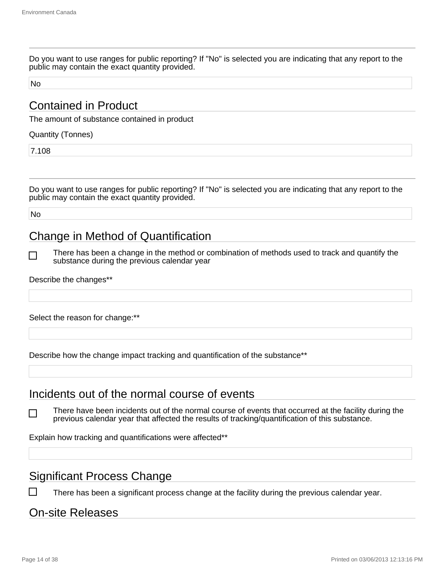Do you want to use ranges for public reporting? If "No" is selected you are indicating that any report to the public may contain the exact quantity provided.

No

# Contained in Product

The amount of substance contained in product

Quantity (Tonnes)

7.108

Do you want to use ranges for public reporting? If "No" is selected you are indicating that any report to the public may contain the exact quantity provided.

No

# Change in Method of Quantification

┐

П

There has been a change in the method or combination of methods used to track and quantify the substance during the previous calendar year

Describe the changes\*\*

Select the reason for change:\*\*

Describe how the change impact tracking and quantification of the substance\*\*

### Incidents out of the normal course of events

There have been incidents out of the normal course of events that occurred at the facility during the previous calendar year that affected the results of tracking/quantification of this substance.

Explain how tracking and quantifications were affected\*\*

# Significant Process Change

There has been a significant process change at the facility during the previous calendar year.

## On-site Releases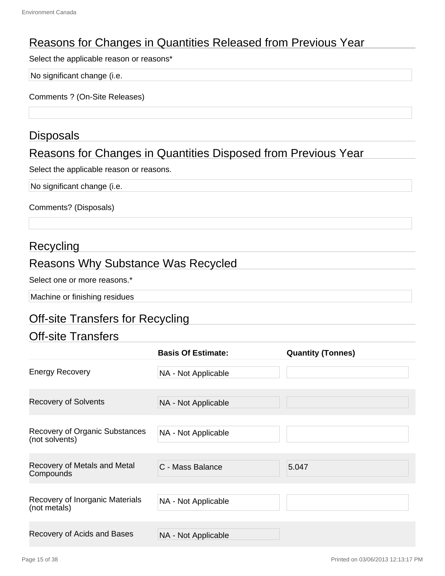# Reasons for Changes in Quantities Released from Previous Year

Select the applicable reason or reasons\*

No significant change (i.e.

Comments ? (On-Site Releases)

### **Disposals**

# Reasons for Changes in Quantities Disposed from Previous Year

Select the applicable reason or reasons.

No significant change (i.e.

Comments? (Disposals)

## **Recycling**

## Reasons Why Substance Was Recycled

Select one or more reasons.<sup>\*</sup>

Machine or finishing residues

# Off-site Transfers for Recycling

## Off-site Transfers

|                                                         | <b>Basis Of Estimate:</b> | <b>Quantity (Tonnes)</b> |
|---------------------------------------------------------|---------------------------|--------------------------|
| <b>Energy Recovery</b>                                  | NA - Not Applicable       |                          |
| <b>Recovery of Solvents</b>                             | NA - Not Applicable       |                          |
| <b>Recovery of Organic Substances</b><br>(not solvents) | NA - Not Applicable       |                          |
| Recovery of Metals and Metal<br>Compounds               | C - Mass Balance          | 5.047                    |
| Recovery of Inorganic Materials<br>(not metals)         | NA - Not Applicable       |                          |
| Recovery of Acids and Bases                             | NA - Not Applicable       |                          |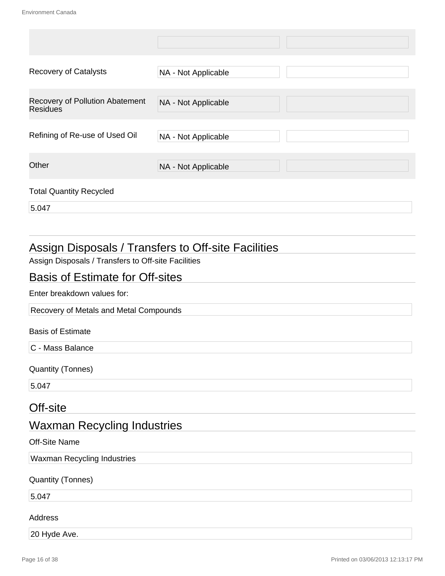| <b>Recovery of Catalysts</b>                       | NA - Not Applicable |  |
|----------------------------------------------------|---------------------|--|
| Recovery of Pollution Abatement<br><b>Residues</b> | NA - Not Applicable |  |
| Refining of Re-use of Used Oil                     | NA - Not Applicable |  |
| Other                                              | NA - Not Applicable |  |
| <b>Total Quantity Recycled</b>                     |                     |  |
| 5.047                                              |                     |  |

# Assign Disposals / Transfers to Off-site Facilities

Assign Disposals / Transfers to Off-site Facilities

## Basis of Estimate for Off-sites

Enter breakdown values for:

Recovery of Metals and Metal Compounds

#### Basis of Estimate

C - Mass Balance

Quantity (Tonnes)

5.047

### Off-site

# Waxman Recycling Industries

#### Off-Site Name

Waxman Recycling Industries

Quantity (Tonnes)

5.047

#### Address

20 Hyde Ave.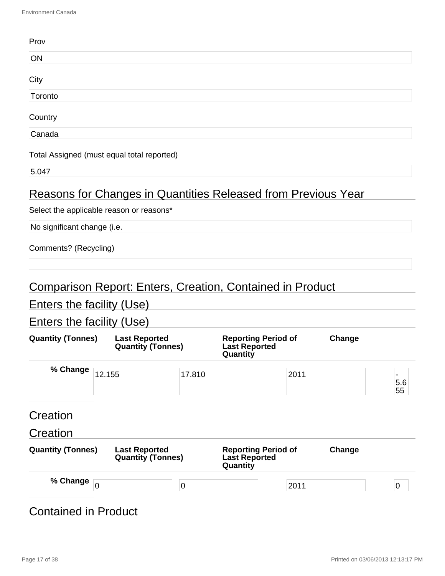| Prov                        |                                                                  |           |                                                    |        |           |
|-----------------------------|------------------------------------------------------------------|-----------|----------------------------------------------------|--------|-----------|
| ON                          |                                                                  |           |                                                    |        |           |
| City                        |                                                                  |           |                                                    |        |           |
| Toronto                     |                                                                  |           |                                                    |        |           |
| Country                     |                                                                  |           |                                                    |        |           |
| Canada                      |                                                                  |           |                                                    |        |           |
|                             | Total Assigned (must equal total reported)                       |           |                                                    |        |           |
| 5.047                       |                                                                  |           |                                                    |        |           |
|                             | Reasons for Changes in Quantities Released from Previous Year    |           |                                                    |        |           |
|                             | Select the applicable reason or reasons*                         |           |                                                    |        |           |
| No significant change (i.e. |                                                                  |           |                                                    |        |           |
| Comments? (Recycling)       |                                                                  |           |                                                    |        |           |
|                             |                                                                  |           |                                                    |        |           |
|                             | <b>Comparison Report: Enters, Creation, Contained in Product</b> |           |                                                    |        |           |
| Enters the facility (Use)   |                                                                  |           |                                                    |        |           |
| Enters the facility (Use)   |                                                                  |           |                                                    |        |           |
| <b>Quantity (Tonnes)</b>    | <b>Last Reported</b><br><b>Quantity (Tonnes)</b>                 | Quantity  | <b>Reporting Period of</b><br><b>Last Reported</b> | Change |           |
| % Change                    | 12.155                                                           | 17.810    | 2011                                               |        | 5.6<br>55 |
| Creation                    |                                                                  |           |                                                    |        |           |
| Creation                    |                                                                  |           |                                                    |        |           |
| <b>Quantity (Tonnes)</b>    | <b>Last Reported</b><br><b>Quantity (Tonnes)</b>                 | Quantity  | <b>Reporting Period of</b><br><b>Last Reported</b> | Change |           |
| % Change                    | $\overline{0}$                                                   | $\pmb{0}$ | 2011                                               |        | 0         |
| <b>Contained in Product</b> |                                                                  |           |                                                    |        |           |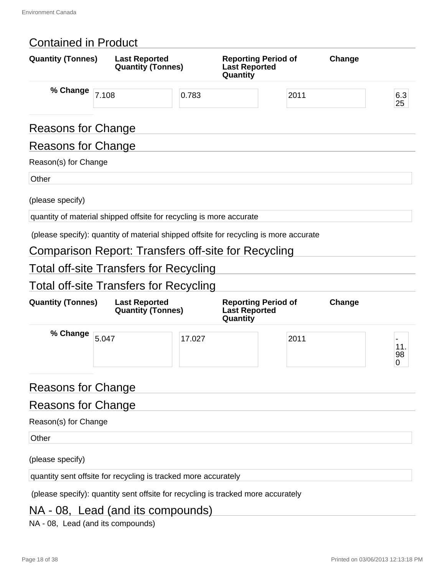# Contained in Product

| <b>Quantity (Tonnes)</b>  | <b>Last Reported</b><br><b>Quantity (Tonnes)</b>                                      |        | <b>Reporting Period of</b><br><b>Last Reported</b><br>Quantity | Change |                |
|---------------------------|---------------------------------------------------------------------------------------|--------|----------------------------------------------------------------|--------|----------------|
| % Change                  | 7.108                                                                                 | 0.783  | 2011                                                           |        | 6.3<br>25      |
| <b>Reasons for Change</b> |                                                                                       |        |                                                                |        |                |
| <b>Reasons for Change</b> |                                                                                       |        |                                                                |        |                |
| Reason(s) for Change      |                                                                                       |        |                                                                |        |                |
| Other                     |                                                                                       |        |                                                                |        |                |
| (please specify)          |                                                                                       |        |                                                                |        |                |
|                           | quantity of material shipped offsite for recycling is more accurate                   |        |                                                                |        |                |
|                           | (please specify): quantity of material shipped offsite for recycling is more accurate |        |                                                                |        |                |
|                           | Comparison Report: Transfers off-site for Recycling                                   |        |                                                                |        |                |
|                           | Total off-site Transfers for Recycling                                                |        |                                                                |        |                |
|                           | <b>Total off-site Transfers for Recycling</b>                                         |        |                                                                |        |                |
| <b>Quantity (Tonnes)</b>  | <b>Last Reported</b><br><b>Quantity (Tonnes)</b>                                      |        | <b>Reporting Period of</b><br><b>Last Reported</b><br>Quantity | Change |                |
| % Change                  | 5.047                                                                                 | 17.027 | 2011                                                           |        | 11.<br>98<br>0 |
| <b>Reasons for Change</b> |                                                                                       |        |                                                                |        |                |
| <b>Reasons for Change</b> |                                                                                       |        |                                                                |        |                |
| Reason(s) for Change      |                                                                                       |        |                                                                |        |                |
| Other                     |                                                                                       |        |                                                                |        |                |
| (please specify)          |                                                                                       |        |                                                                |        |                |
|                           | quantity sent offsite for recycling is tracked more accurately                        |        |                                                                |        |                |
|                           | (please specify): quantity sent offsite for recycling is tracked more accurately      |        |                                                                |        |                |

# NA - 08, Lead (and its compounds)

NA - 08, Lead (and its compounds)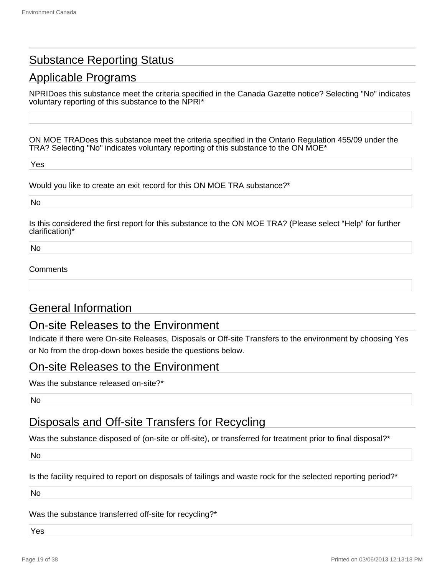# Substance Reporting Status

# Applicable Programs

NPRIDoes this substance meet the criteria specified in the Canada Gazette notice? Selecting "No" indicates voluntary reporting of this substance to the NPRI\*

ON MOE TRADoes this substance meet the criteria specified in the Ontario Regulation 455/09 under the TRA? Selecting "No" indicates voluntary reporting of this substance to the ON MOE\*

Yes

Would you like to create an exit record for this ON MOE TRA substance?\*

No

Is this considered the first report for this substance to the ON MOE TRA? (Please select "Help" for further clarification)\*

No

#### Comments

### General Information

### On-site Releases to the Environment

Indicate if there were On-site Releases, Disposals or Off-site Transfers to the environment by choosing Yes or No from the drop-down boxes beside the questions below.

### On-site Releases to the Environment

Was the substance released on-site?\*

No

# Disposals and Off-site Transfers for Recycling

Was the substance disposed of (on-site or off-site), or transferred for treatment prior to final disposal?<sup>\*</sup>

No

Is the facility required to report on disposals of tailings and waste rock for the selected reporting period?\*

No

Was the substance transferred off-site for recycling?\*

Yes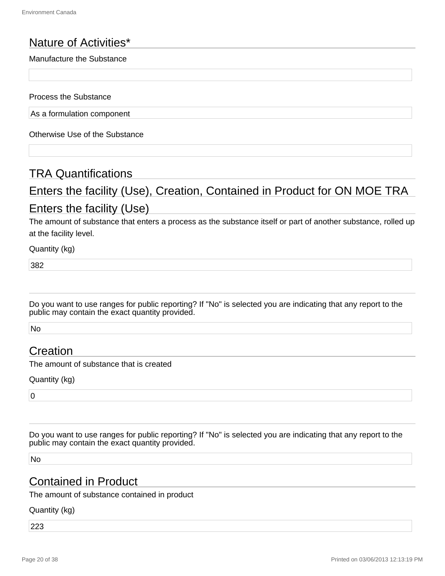# Nature of Activities\*

#### Manufacture the Substance

Process the Substance

As a formulation component

Otherwise Use of the Substance

## TRA Quantifications

# Enters the facility (Use), Creation, Contained in Product for ON MOE TRA Enters the facility (Use)

The amount of substance that enters a process as the substance itself or part of another substance, rolled up at the facility level.

Quantity (kg)

382

Do you want to use ranges for public reporting? If "No" is selected you are indicating that any report to the public may contain the exact quantity provided.

No

## Creation

The amount of substance that is created

Quantity (kg)

 $\overline{0}$ 

Do you want to use ranges for public reporting? If "No" is selected you are indicating that any report to the public may contain the exact quantity provided.

No

### Contained in Product

The amount of substance contained in product

Quantity (kg)

223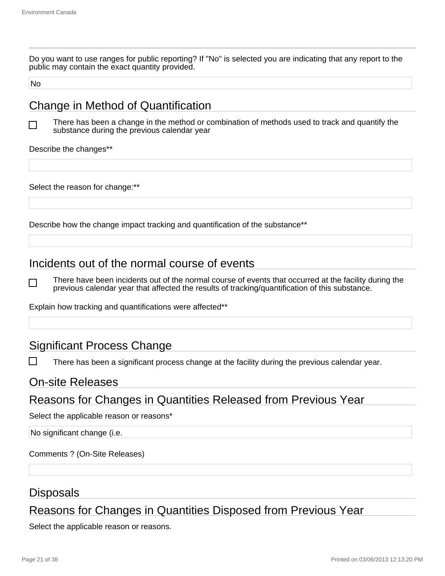Do you want to use ranges for public reporting? If "No" is selected you are indicating that any report to the public may contain the exact quantity provided.

No

# Change in Method of Quantification

 $\mathsf{L}$ 

There has been a change in the method or combination of methods used to track and quantify the substance during the previous calendar year

Describe the changes\*\*

Select the reason for change:\*\*

Describe how the change impact tracking and quantification of the substance\*\*

# Incidents out of the normal course of events

There have been incidents out of the normal course of events that occurred at the facility during the previous calendar year that affected the results of tracking/quantification of this substance.

Explain how tracking and quantifications were affected\*\*

## Significant Process Change

There has been a significant process change at the facility during the previous calendar year.

#### On-site Releases

## Reasons for Changes in Quantities Released from Previous Year

Select the applicable reason or reasons\*

No significant change (i.e.

Comments ? (On-Site Releases)

#### Disposals

# Reasons for Changes in Quantities Disposed from Previous Year

Select the applicable reason or reasons.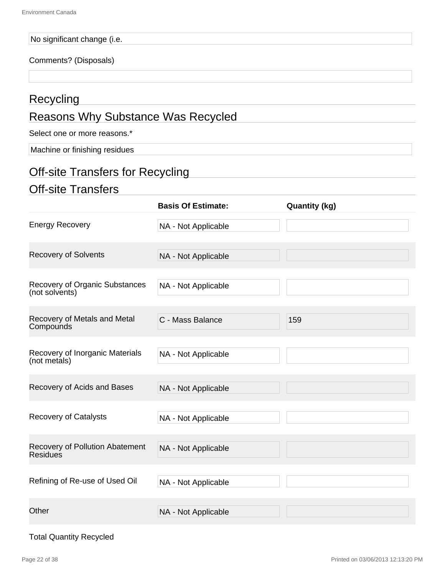#### No significant change (i.e.

#### Comments? (Disposals)

# **Recycling**

# Reasons Why Substance Was Recycled

Select one or more reasons.<sup>\*</sup>

Machine or finishing residues

# Off-site Transfers for Recycling

## Off-site Transfers

|                                                         | <b>Basis Of Estimate:</b> | <b>Quantity (kg)</b> |
|---------------------------------------------------------|---------------------------|----------------------|
| <b>Energy Recovery</b>                                  | NA - Not Applicable       |                      |
| <b>Recovery of Solvents</b>                             | NA - Not Applicable       |                      |
| <b>Recovery of Organic Substances</b><br>(not solvents) | NA - Not Applicable       |                      |
| Recovery of Metals and Metal<br>Compounds               | C - Mass Balance          | 159                  |
| Recovery of Inorganic Materials<br>(not metals)         | NA - Not Applicable       |                      |
| Recovery of Acids and Bases                             | NA - Not Applicable       |                      |
| <b>Recovery of Catalysts</b>                            | NA - Not Applicable       |                      |
| Recovery of Pollution Abatement<br><b>Residues</b>      | NA - Not Applicable       |                      |
| Refining of Re-use of Used Oil                          | NA - Not Applicable       |                      |
| Other                                                   | NA - Not Applicable       |                      |

#### Total Quantity Recycled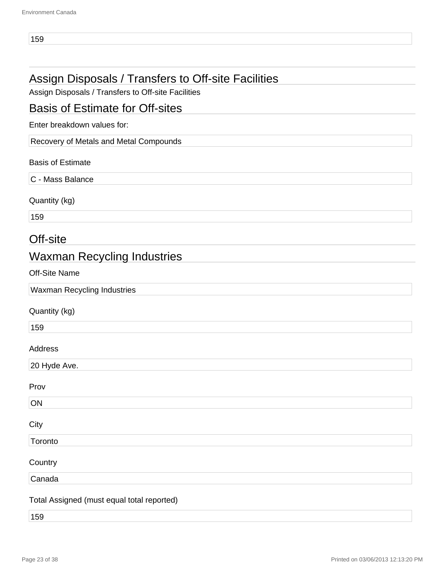# Assign Disposals / Transfers to Off-site Facilities

Assign Disposals / Transfers to Off-site Facilities

## Basis of Estimate for Off-sites

Enter breakdown values for:

Recovery of Metals and Metal Compounds

#### Basis of Estimate

C - Mass Balance

Quantity (kg)

159

## Off-site

# Waxman Recycling Industries

Off-Site Name

Waxman Recycling Industries

#### Quantity (kg)

159

#### Address

20 Hyde Ave.

#### Prov

| ON                |               |  |  |
|-------------------|---------------|--|--|
| City              |               |  |  |
| Toronto           |               |  |  |
|                   |               |  |  |
| Country<br>Canada |               |  |  |
|                   | $\sim$ $\sim$ |  |  |

#### Total Assigned (must equal total reported)

159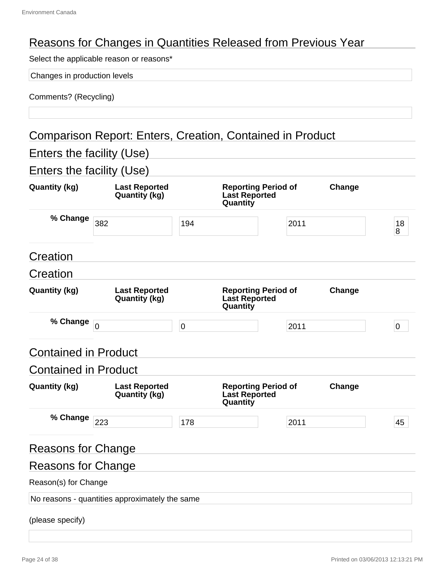# Reasons for Changes in Quantities Released from Previous Year

Select the applicable reason or reasons\*

Changes in production levels

| Comments? (Recycling) |  |
|-----------------------|--|
|-----------------------|--|

# Comparison Report: Enters, Creation, Contained in Product

Enters the facility (Use)

Enters the facility (Use)

| <b>Quantity (kg)</b>        | <b>Last Reported</b><br><b>Quantity (kg)</b>   |           | <b>Reporting Period of</b><br><b>Last Reported</b><br>Quantity |      | Change |             |
|-----------------------------|------------------------------------------------|-----------|----------------------------------------------------------------|------|--------|-------------|
| % Change                    | 382                                            | 194       |                                                                | 2011 |        | 18<br>8     |
| Creation                    |                                                |           |                                                                |      |        |             |
| Creation                    |                                                |           |                                                                |      |        |             |
| <b>Quantity (kg)</b>        | <b>Last Reported</b><br><b>Quantity (kg)</b>   |           | <b>Reporting Period of</b><br><b>Last Reported</b><br>Quantity |      | Change |             |
| % Change                    | $\overline{0}$                                 | $\pmb{0}$ |                                                                | 2011 |        | $\mathbf 0$ |
| <b>Contained in Product</b> |                                                |           |                                                                |      |        |             |
| <b>Contained in Product</b> |                                                |           |                                                                |      |        |             |
| <b>Quantity (kg)</b>        | <b>Last Reported</b><br><b>Quantity (kg)</b>   |           | <b>Reporting Period of</b><br><b>Last Reported</b><br>Quantity |      | Change |             |
| % Change                    | 223                                            | 178       |                                                                | 2011 |        | 45          |
| <b>Reasons for Change</b>   |                                                |           |                                                                |      |        |             |
| <b>Reasons for Change</b>   |                                                |           |                                                                |      |        |             |
| Reason(s) for Change        |                                                |           |                                                                |      |        |             |
|                             | No reasons - quantities approximately the same |           |                                                                |      |        |             |
| (please specify)            |                                                |           |                                                                |      |        |             |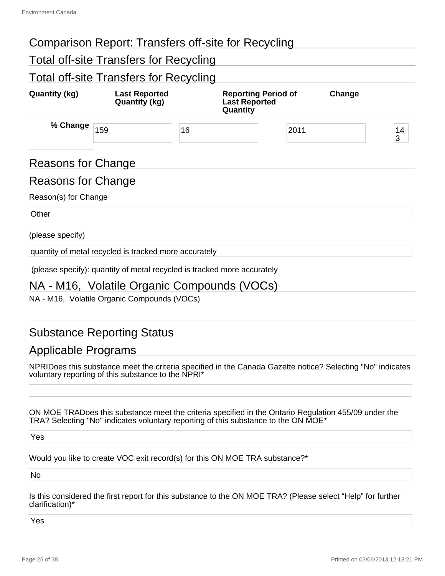# Comparison Report: Transfers off-site for Recycling

# Total off-site Transfers for Recycling

# Total off-site Transfers for Recycling

| <b>Quantity (kg)</b> | <b>Last Reported</b><br><b>Quantity (kg)</b>          | <b>Reporting Period of</b><br><b>Last Reported</b><br>Quantity          |      | Change |         |
|----------------------|-------------------------------------------------------|-------------------------------------------------------------------------|------|--------|---------|
| % Change             | 159<br>16                                             |                                                                         | 2011 |        | 14<br>3 |
| Reasons for Change   |                                                       |                                                                         |      |        |         |
| Reasons for Change   |                                                       |                                                                         |      |        |         |
| Reason(s) for Change |                                                       |                                                                         |      |        |         |
| Other                |                                                       |                                                                         |      |        |         |
| (please specify)     |                                                       |                                                                         |      |        |         |
|                      | quantity of metal recycled is tracked more accurately |                                                                         |      |        |         |
|                      |                                                       | (please specify): quantity of metal recycled is tracked more accurately |      |        |         |

## NA - M16, Volatile Organic Compounds (VOCs)

NA - M16, Volatile Organic Compounds (VOCs)

# Substance Reporting Status

## Applicable Programs

NPRIDoes this substance meet the criteria specified in the Canada Gazette notice? Selecting "No" indicates voluntary reporting of this substance to the NPRI\*

ON MOE TRADoes this substance meet the criteria specified in the Ontario Regulation 455/09 under the TRA? Selecting "No" indicates voluntary reporting of this substance to the ON MOE\*

Yes

Would you like to create VOC exit record(s) for this ON MOE TRA substance?\*

No

Is this considered the first report for this substance to the ON MOE TRA? (Please select "Help" for further clarification)\*

Yes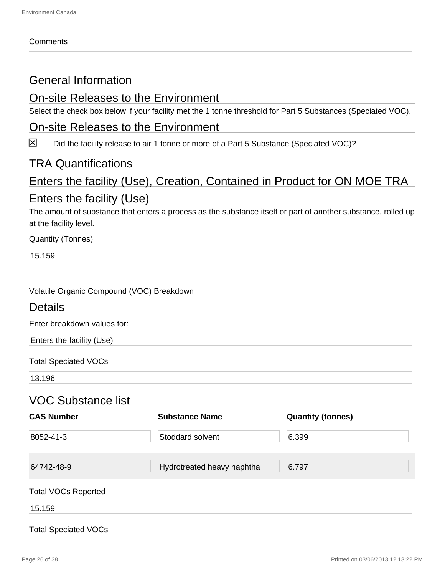#### **Comments**

# General Information

## On-site Releases to the Environment

Select the check box below if your facility met the 1 tonne threshold for Part 5 Substances (Speciated VOC).

### On-site Releases to the Environment

 $\boxtimes$ Did the facility release to air 1 tonne or more of a Part 5 Substance (Speciated VOC)?

### TRA Quantifications

# Enters the facility (Use), Creation, Contained in Product for ON MOE TRA Enters the facility (Use)

The amount of substance that enters a process as the substance itself or part of another substance, rolled up at the facility level.

Quantity (Tonnes)

15.159

| Volatile Organic Compound (VOC) Breakdown |  |  |  |
|-------------------------------------------|--|--|--|
|-------------------------------------------|--|--|--|

### **Details**

Enter breakdown values for:

Enters the facility (Use)

Total Speciated VOCs

13.196

### VOC Substance list

| <b>CAS Number</b>          | <b>Substance Name</b>      | <b>Quantity (tonnes)</b> |
|----------------------------|----------------------------|--------------------------|
| 8052-41-3                  | Stoddard solvent           | 6.399                    |
| 64742-48-9                 | Hydrotreated heavy naphtha | 6.797                    |
| <b>Total VOCs Reported</b> |                            |                          |
| 15.159                     |                            |                          |

#### Total Speciated VOCs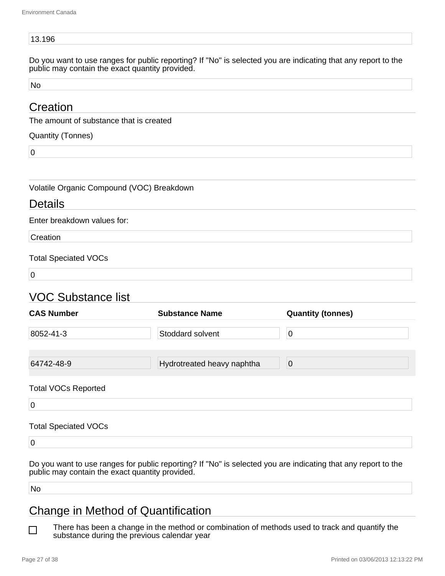#### 13.196

Do you want to use ranges for public reporting? If "No" is selected you are indicating that any report to the public may contain the exact quantity provided.

No

## **Creation**

The amount of substance that is created

Quantity (Tonnes)

0

Volatile Organic Compound (VOC) Breakdown

#### Details

Enter breakdown values for:

**Creation** 

#### Total Speciated VOCs

 $\overline{0}$ 

# VOC Substance list

| <b>CAS Number</b>          | <b>Substance Name</b>      | <b>Quantity (tonnes)</b> |
|----------------------------|----------------------------|--------------------------|
| 8052-41-3                  | Stoddard solvent           | $\mathbf 0$              |
| 64742-48-9                 | Hydrotreated heavy naphtha | 0                        |
| <b>Total VOCs Reported</b> |                            |                          |
| $\overline{0}$             |                            |                          |

#### Total Speciated VOCs

 $\overline{0}$ 

Do you want to use ranges for public reporting? If "No" is selected you are indicating that any report to the public may contain the exact quantity provided.

No

# Change in Method of Quantification

There has been a change in the method or combination of methods used to track and quantify the П substance during the previous calendar year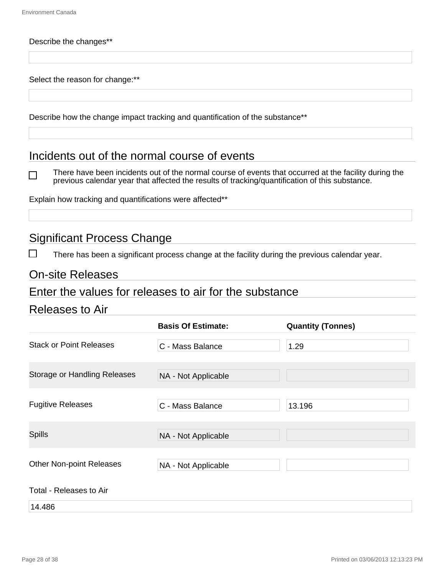٦

#### Describe the changes\*\*

Select the reason for change:\*\*

Describe how the change impact tracking and quantification of the substance\*\*

## Incidents out of the normal course of events

There have been incidents out of the normal course of events that occurred at the facility during the previous calendar year that affected the results of tracking/quantification of this substance.

Explain how tracking and quantifications were affected\*\*

# Significant Process Change

There has been a significant process change at the facility during the previous calendar year.

#### On-site Releases

#### Enter the values for releases to air for the substance

### Releases to Air

|                                     | <b>Basis Of Estimate:</b> | <b>Quantity (Tonnes)</b> |
|-------------------------------------|---------------------------|--------------------------|
| <b>Stack or Point Releases</b>      | C - Mass Balance          | 1.29                     |
| <b>Storage or Handling Releases</b> | NA - Not Applicable       |                          |
| <b>Fugitive Releases</b>            | C - Mass Balance          | 13.196                   |
| <b>Spills</b>                       | NA - Not Applicable       |                          |
| <b>Other Non-point Releases</b>     | NA - Not Applicable       |                          |
| Total - Releases to Air             |                           |                          |
| 14.486                              |                           |                          |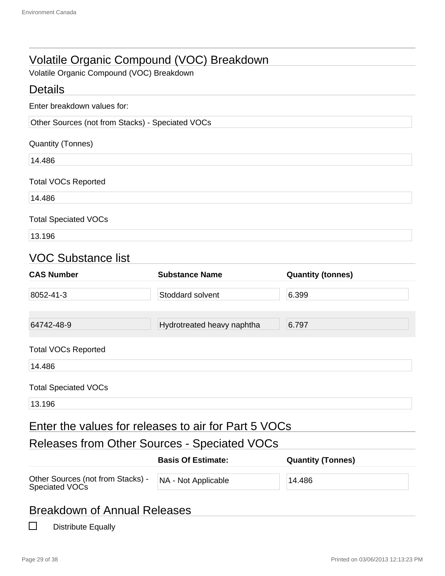# Volatile Organic Compound (VOC) Breakdown

Volatile Organic Compound (VOC) Breakdown

| <b>Details</b>                                      |                                                      |                          |  |  |
|-----------------------------------------------------|------------------------------------------------------|--------------------------|--|--|
| Enter breakdown values for:                         |                                                      |                          |  |  |
| Other Sources (not from Stacks) - Speciated VOCs    |                                                      |                          |  |  |
| <b>Quantity (Tonnes)</b>                            |                                                      |                          |  |  |
| 14.486                                              |                                                      |                          |  |  |
| <b>Total VOCs Reported</b>                          |                                                      |                          |  |  |
| 14.486                                              |                                                      |                          |  |  |
| <b>Total Speciated VOCs</b>                         |                                                      |                          |  |  |
| 13.196                                              |                                                      |                          |  |  |
| <b>VOC Substance list</b>                           |                                                      |                          |  |  |
| <b>CAS Number</b>                                   | <b>Substance Name</b>                                | <b>Quantity (tonnes)</b> |  |  |
| 8052-41-3                                           | Stoddard solvent                                     | 6.399                    |  |  |
| 64742-48-9                                          | Hydrotreated heavy naphtha                           | 6.797                    |  |  |
| <b>Total VOCs Reported</b>                          |                                                      |                          |  |  |
| 14.486                                              |                                                      |                          |  |  |
| <b>Total Speciated VOCs</b>                         |                                                      |                          |  |  |
| 13.196                                              |                                                      |                          |  |  |
|                                                     | Enter the values for releases to air for Part 5 VOCs |                          |  |  |
| Releases from Other Sources - Speciated VOCs        |                                                      |                          |  |  |
|                                                     | <b>Basis Of Estimate:</b>                            | <b>Quantity (Tonnes)</b> |  |  |
| Other Sources (not from Stacks) -<br>Speciated VOCs | NA - Not Applicable                                  | 14.486                   |  |  |
| <b>Breakdown of Annual Releases</b>                 |                                                      |                          |  |  |
| $\Box$<br><b>Distribute Equally</b>                 |                                                      |                          |  |  |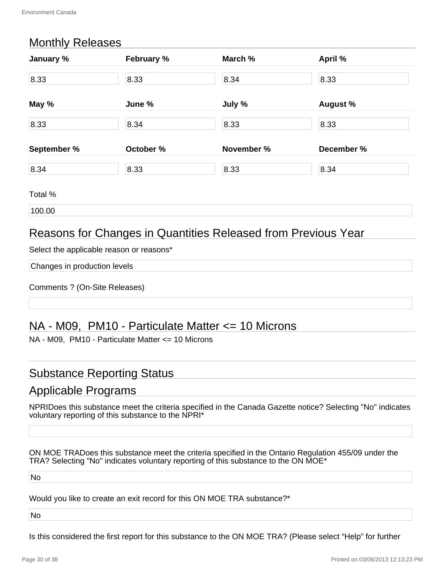# Monthly Releases

| January %   | February % | March %    | April %         |  |
|-------------|------------|------------|-----------------|--|
| 8.33        | 8.33       | 8.34       | 8.33            |  |
| May %       | June %     | July %     | <b>August %</b> |  |
| 8.33        | 8.34       | 8.33       | 8.33            |  |
| September % | October %  | November % | December %      |  |
| 8.34        | 8.33       | 8.33       | 8.34            |  |

Total %

100.00

# Reasons for Changes in Quantities Released from Previous Year

Select the applicable reason or reasons\*

Changes in production levels

Comments ? (On-Site Releases)

# NA - M09, PM10 - Particulate Matter <= 10 Microns

NA - M09, PM10 - Particulate Matter <= 10 Microns

## Substance Reporting Status

## Applicable Programs

NPRIDoes this substance meet the criteria specified in the Canada Gazette notice? Selecting "No" indicates voluntary reporting of this substance to the NPRI\*

ON MOE TRADoes this substance meet the criteria specified in the Ontario Regulation 455/09 under the TRA? Selecting "No" indicates voluntary reporting of this substance to the ON MOE\*

No

Would you like to create an exit record for this ON MOE TRA substance?\*

No

Is this considered the first report for this substance to the ON MOE TRA? (Please select "Help" for further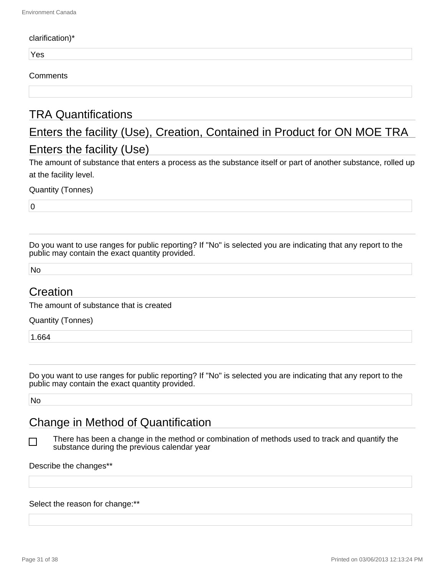#### clarification)\*

Yes

#### **Comments**

# TRA Quantifications

# Enters the facility (Use), Creation, Contained in Product for ON MOE TRA Enters the facility (Use)

The amount of substance that enters a process as the substance itself or part of another substance, rolled up at the facility level.

Quantity (Tonnes)

 $\overline{0}$ 

Do you want to use ranges for public reporting? If "No" is selected you are indicating that any report to the public may contain the exact quantity provided.

No

## Creation

The amount of substance that is created

Quantity (Tonnes)

1.664

Do you want to use ranges for public reporting? If "No" is selected you are indicating that any report to the public may contain the exact quantity provided.

No

l 1

# Change in Method of Quantification

There has been a change in the method or combination of methods used to track and quantify the substance during the previous calendar year

Describe the changes\*\*

#### Select the reason for change:\*\*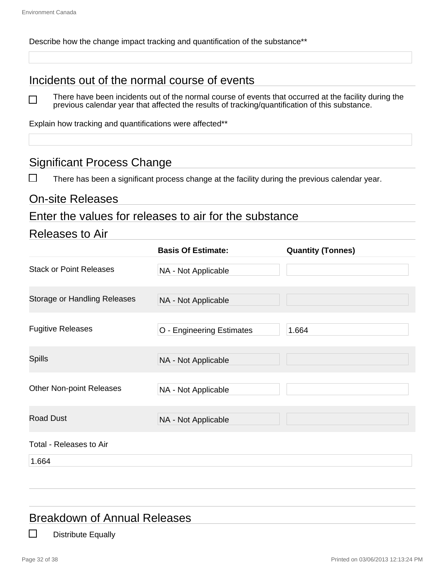$\Box$ 

Describe how the change impact tracking and quantification of the substance<sup>\*\*</sup>

# Incidents out of the normal course of events

There have been incidents out of the normal course of events that occurred at the facility during the previous calendar year that affected the results of tracking/quantification of this substance.

Explain how tracking and quantifications were affected\*\*

# Significant Process Change

There has been a significant process change at the facility during the previous calendar year.

#### On-site Releases

#### Enter the values for releases to air for the substance

#### Releases to Air

|                                     | <b>Basis Of Estimate:</b> | <b>Quantity (Tonnes)</b> |
|-------------------------------------|---------------------------|--------------------------|
| <b>Stack or Point Releases</b>      | NA - Not Applicable       |                          |
| <b>Storage or Handling Releases</b> | NA - Not Applicable       |                          |
| <b>Fugitive Releases</b>            | O - Engineering Estimates | 1.664                    |
| <b>Spills</b>                       | NA - Not Applicable       |                          |
| Other Non-point Releases            | NA - Not Applicable       |                          |
| <b>Road Dust</b>                    | NA - Not Applicable       |                          |
| Total - Releases to Air             |                           |                          |

1.664

# Breakdown of Annual Releases

Distribute Equally

l 1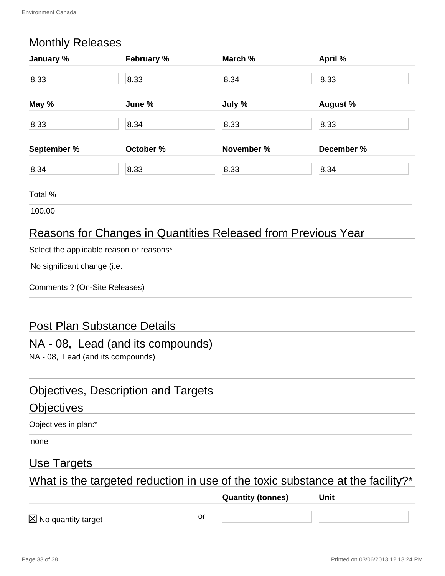# Monthly Releases

| January %   | February % | March %    | April %         |
|-------------|------------|------------|-----------------|
| 8.33        | 8.33       | 8.34       | 8.33            |
| May %       | June %     | July %     | <b>August %</b> |
| 8.33        | 8.34       | 8.33       | 8.33            |
| September % | October %  | November % | December %      |
| 8.34        | 8.33       | 8.33       | 8.34            |

Total %

100.00

# Reasons for Changes in Quantities Released from Previous Year

Select the applicable reason or reasons\*

No significant change (i.e.

| Comments ? (On-Site Releases) |  |  |  |
|-------------------------------|--|--|--|
|-------------------------------|--|--|--|

# Post Plan Substance Details

## NA - 08, Lead (and its compounds)

NA - 08, Lead (and its compounds)

# Objectives, Description and Targets

#### **Objectives**

Objectives in plan:\*

none

# Use Targets

What is the targeted reduction in use of the toxic substance at the facility?\*

**Quantity (tonnes) Unit**

 $\boxtimes$  No quantity target  $\cong$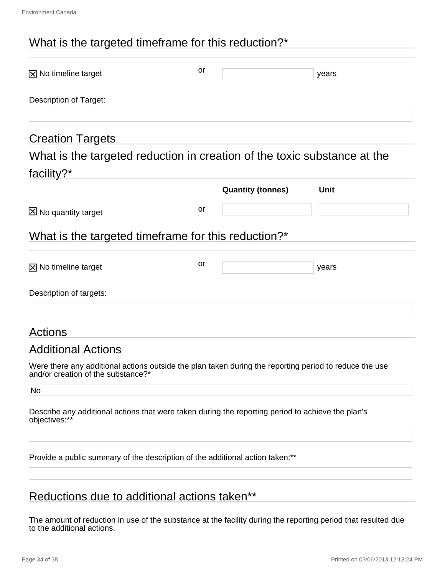# What is the targeted timeframe for this reduction?\*

| $\boxtimes$ No timeline target | or                | years                                                                    |
|--------------------------------|-------------------|--------------------------------------------------------------------------|
| Description of Target:         |                   |                                                                          |
| <b>Creation Targets</b>        |                   |                                                                          |
|                                |                   | What is the targeted reduction in creation of the toxic substance at the |
| facility? $*$                  |                   |                                                                          |
|                                | Quantity (tonnes) | <b>Unit</b>                                                              |

|                                                     |    | <b>Quantity (tonnes)</b> | <b>Unit</b> |  |
|-----------------------------------------------------|----|--------------------------|-------------|--|
| $\boxtimes$ No quantity target                      | or |                          |             |  |
| What is the targeted timeframe for this reduction?* |    |                          |             |  |
| $\boxtimes$ No timeline target                      | or |                          | years       |  |
| Description of targets:                             |    |                          |             |  |
|                                                     |    |                          |             |  |

# Actions

## Additional Actions

Were there any additional actions outside the plan taken during the reporting period to reduce the use and/or creation of the substance?\*

No

Describe any additional actions that were taken during the reporting period to achieve the plan's objectives:\*\*

Provide a public summary of the description of the additional action taken:\*\*

# Reductions due to additional actions taken\*\*

The amount of reduction in use of the substance at the facility during the reporting period that resulted due to the additional actions.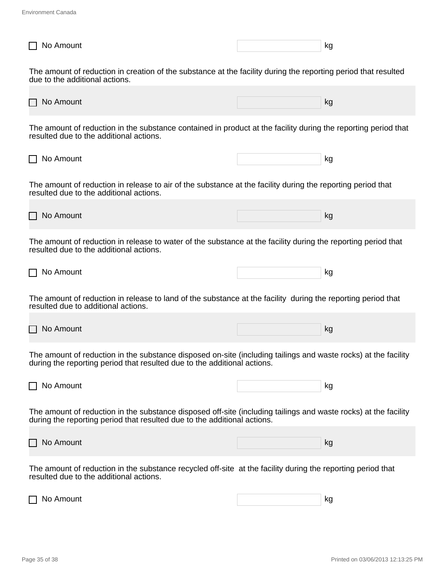| No Amount                                                                                                                                                                                   | kg |
|---------------------------------------------------------------------------------------------------------------------------------------------------------------------------------------------|----|
| The amount of reduction in creation of the substance at the facility during the reporting period that resulted<br>due to the additional actions.                                            |    |
| No Amount                                                                                                                                                                                   | kg |
| The amount of reduction in the substance contained in product at the facility during the reporting period that<br>resulted due to the additional actions.                                   |    |
| No Amount                                                                                                                                                                                   | kg |
| The amount of reduction in release to air of the substance at the facility during the reporting period that<br>resulted due to the additional actions.                                      |    |
| No Amount                                                                                                                                                                                   | kg |
| The amount of reduction in release to water of the substance at the facility during the reporting period that<br>resulted due to the additional actions.                                    |    |
| No Amount                                                                                                                                                                                   | kg |
| The amount of reduction in release to land of the substance at the facility during the reporting period that<br>resulted due to additional actions.                                         |    |
| No Amount                                                                                                                                                                                   | kg |
| The amount of reduction in the substance disposed on-site (including tailings and waste rocks) at the facility<br>during the reporting period that resulted due to the additional actions.  |    |
| No Amount                                                                                                                                                                                   | kg |
| The amount of reduction in the substance disposed off-site (including tailings and waste rocks) at the facility<br>during the reporting period that resulted due to the additional actions. |    |
| No Amount                                                                                                                                                                                   | kg |
| The amount of reduction in the substance recycled off-site at the facility during the reporting period that<br>resulted due to the additional actions.                                      |    |
| No Amount                                                                                                                                                                                   | kg |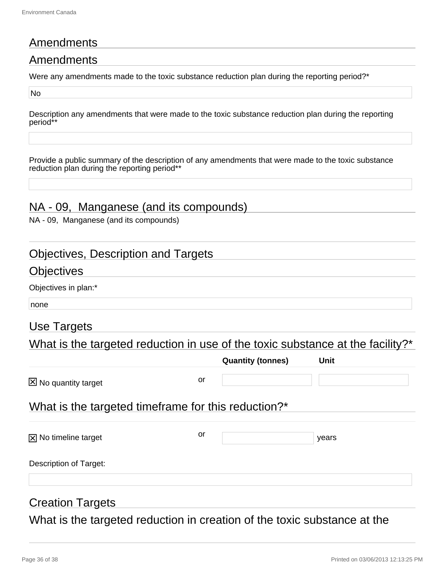# **Amendments**

# Amendments

Were any amendments made to the toxic substance reduction plan during the reporting period?<sup>\*</sup>

No

Description any amendments that were made to the toxic substance reduction plan during the reporting period\*

Provide a public summary of the description of any amendments that were made to the toxic substance reduction plan during the reporting period\*\*

# NA - 09, Manganese (and its compounds)

NA - 09, Manganese (and its compounds)

## Objectives, Description and Targets

## **Objectives**

Objectives in plan:\*

none

# Use Targets

What is the targeted reduction in use of the toxic substance at the facility?\*

|                                                     |    | <b>Quantity (tonnes)</b> | Unit  |  |
|-----------------------------------------------------|----|--------------------------|-------|--|
| $\boxtimes$ No quantity target                      | or |                          |       |  |
| What is the targeted timeframe for this reduction?* |    |                          |       |  |
| $[\overline{x}]$ No timeline target                 | or |                          | years |  |
| Description of Target:                              |    |                          |       |  |
|                                                     |    |                          |       |  |

# Creation Targets

What is the targeted reduction in creation of the toxic substance at the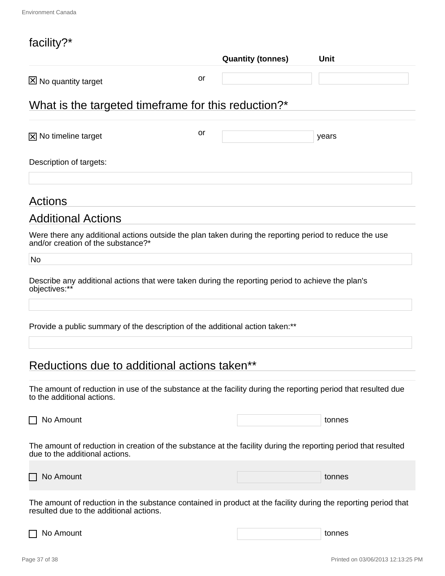# facility?\*

| <b>IQUIIILY:</b>                                                                                                                                          |    | <b>Quantity (tonnes)</b> | <b>Unit</b> |
|-----------------------------------------------------------------------------------------------------------------------------------------------------------|----|--------------------------|-------------|
| No quantity target                                                                                                                                        | or |                          |             |
| What is the targeted timeframe for this reduction?*                                                                                                       |    |                          |             |
| $\boxtimes$ No timeline target                                                                                                                            | or |                          | years       |
| Description of targets:                                                                                                                                   |    |                          |             |
| Actions                                                                                                                                                   |    |                          |             |
| <b>Additional Actions</b>                                                                                                                                 |    |                          |             |
| Were there any additional actions outside the plan taken during the reporting period to reduce the use<br>and/or creation of the substance?*              |    |                          |             |
| No                                                                                                                                                        |    |                          |             |
| Describe any additional actions that were taken during the reporting period to achieve the plan's<br>objectives:**                                        |    |                          |             |
| Provide a public summary of the description of the additional action taken:**                                                                             |    |                          |             |
| Reductions due to additional actions taken**                                                                                                              |    |                          |             |
| The amount of reduction in use of the substance at the facility during the reporting period that resulted due<br>to the additional actions.               |    |                          |             |
| No Amount                                                                                                                                                 |    |                          | tonnes      |
| The amount of reduction in creation of the substance at the facility during the reporting period that resulted<br>due to the additional actions.          |    |                          |             |
| No Amount                                                                                                                                                 |    |                          | tonnes      |
| The amount of reduction in the substance contained in product at the facility during the reporting period that<br>resulted due to the additional actions. |    |                          |             |

□ No Amount tonnes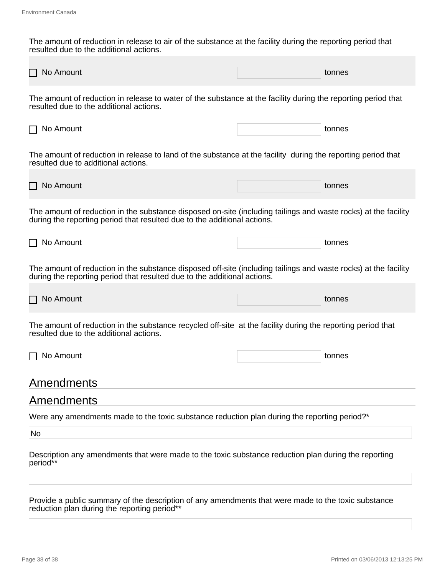The amount of reduction in release to air of the substance at the facility during the reporting period that resulted due to the additional actions.

| No Amount                                                                                                                                                                                   |  | tonnes |  |  |
|---------------------------------------------------------------------------------------------------------------------------------------------------------------------------------------------|--|--------|--|--|
| The amount of reduction in release to water of the substance at the facility during the reporting period that<br>resulted due to the additional actions.                                    |  |        |  |  |
| No Amount                                                                                                                                                                                   |  | tonnes |  |  |
| The amount of reduction in release to land of the substance at the facility during the reporting period that<br>resulted due to additional actions.                                         |  |        |  |  |
| No Amount                                                                                                                                                                                   |  | tonnes |  |  |
| The amount of reduction in the substance disposed on-site (including tailings and waste rocks) at the facility<br>during the reporting period that resulted due to the additional actions.  |  |        |  |  |
| No Amount                                                                                                                                                                                   |  | tonnes |  |  |
| The amount of reduction in the substance disposed off-site (including tailings and waste rocks) at the facility<br>during the reporting period that resulted due to the additional actions. |  |        |  |  |
| No Amount                                                                                                                                                                                   |  | tonnes |  |  |
| The amount of reduction in the substance recycled off-site at the facility during the reporting period that<br>resulted due to the additional actions.                                      |  |        |  |  |
| No Amount                                                                                                                                                                                   |  | tonnes |  |  |
| Amendments                                                                                                                                                                                  |  |        |  |  |
| Amendments                                                                                                                                                                                  |  |        |  |  |
| Were any amendments made to the toxic substance reduction plan during the reporting period?*                                                                                                |  |        |  |  |
| No                                                                                                                                                                                          |  |        |  |  |
| Description any amendments that were made to the toxic substance reduction plan during the reporting<br>period**                                                                            |  |        |  |  |
| Provide a public summary of the description of any amendments that were made to the toxic substance<br>reduction plan during the reporting period**                                         |  |        |  |  |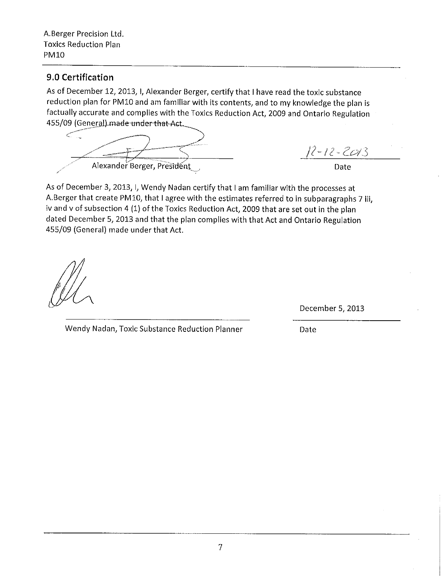A.Berger Precision Ltd. **Toxics Reduction Plan PM10** 

#### 9.0 Certification

As of December 12, 2013, I, Alexander Berger, certify that I have read the toxic substance reduction plan for PM10 and am familiar with its contents, and to my knowledge the plan is factually accurate and complies with the Toxics Reduction Act, 2009 and Ontario Regulation 455/09 (General) made under that Act.

Alexander Berger, President

 $12 - 12 - 2013$ 

Date

As of December 3, 2013, I, Wendy Nadan certify that I am familiar with the processes at A.Berger that create PM10, that I agree with the estimates referred to in subparagraphs 7 iii, iv and v of subsection 4 (1) of the Toxics Reduction Act, 2009 that are set out in the plan dated December 5, 2013 and that the plan complies with that Act and Ontario Regulation 455/09 (General) made under that Act.

December 5, 2013

Wendy Nadan, Toxic Substance Reduction Planner

Date